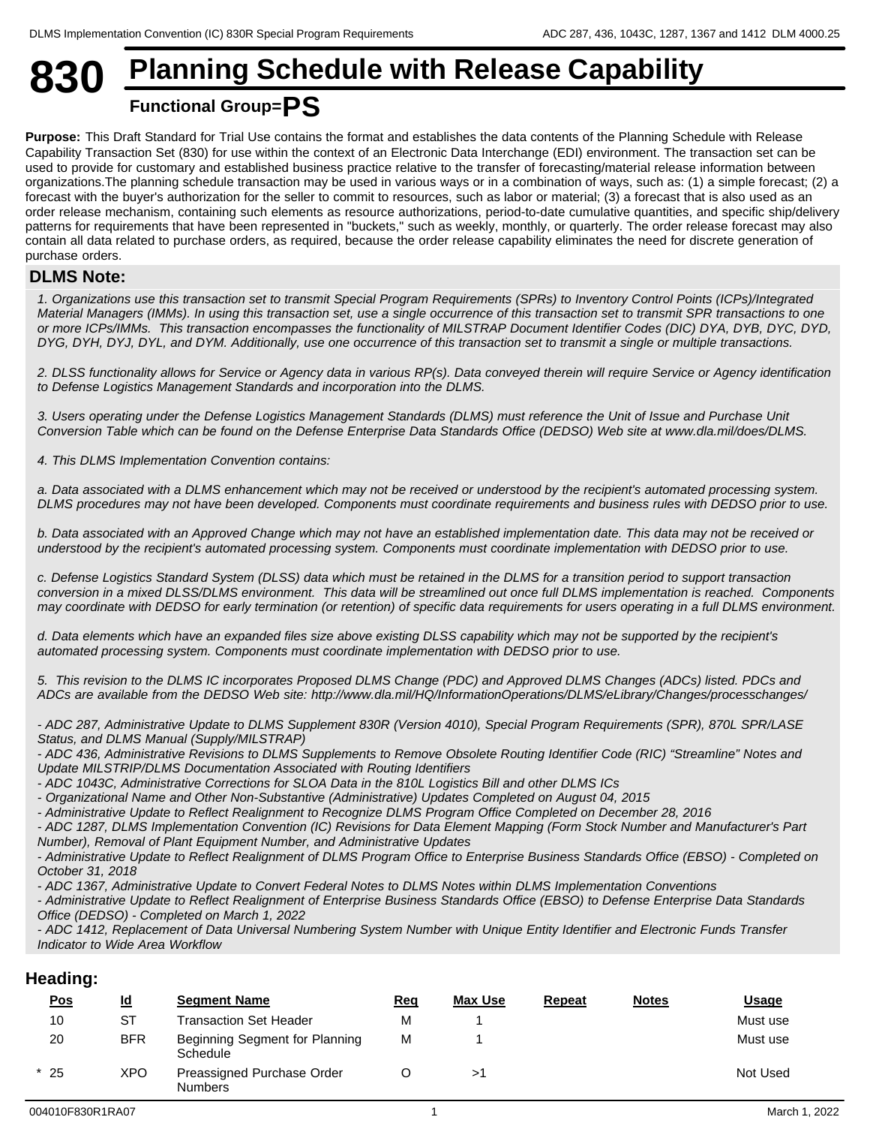## **830 Planning Schedule with Release Capability Functional Group=PS**

### **Purpose:** This Draft Standard for Trial Use contains the format and establishes the data contents of the Planning Schedule with Release Capability Transaction Set (830) for use within the context of an Electronic Data Interchange (EDI) environment. The transaction set can be used to provide for customary and established business practice relative to the transfer of forecasting/material release information between organizations.The planning schedule transaction may be used in various ways or in a combination of ways, such as: (1) a simple forecast; (2) a forecast with the buyer's authorization for the seller to commit to resources, such as labor or material; (3) a forecast that is also used as an order release mechanism, containing such elements as resource authorizations, period-to-date cumulative quantities, and specific ship/delivery patterns for requirements that have been represented in "buckets," such as weekly, monthly, or quarterly. The order release forecast may also contain all data related to purchase orders, as required, because the order release capability eliminates the need for discrete generation of

## purchase orders. **DLMS Note:**

*1. Organizations use this transaction set to transmit Special Program Requirements (SPRs) to Inventory Control Points (ICPs)/Integrated Material Managers (IMMs). In using this transaction set, use a single occurrence of this transaction set to transmit SPR transactions to one or more ICPs/IMMs. This transaction encompasses the functionality of MILSTRAP Document Identifier Codes (DIC) DYA, DYB, DYC, DYD, DYG, DYH, DYJ, DYL, and DYM. Additionally, use one occurrence of this transaction set to transmit a single or multiple transactions.*

*2. DLSS functionality allows for Service or Agency data in various RP(s). Data conveyed therein will require Service or Agency identification to Defense Logistics Management Standards and incorporation into the DLMS.*

*3. Users operating under the Defense Logistics Management Standards (DLMS) must reference the Unit of Issue and Purchase Unit Conversion Table which can be found on the Defense Enterprise Data Standards Office (DEDSO) Web site at www.dla.mil/does/DLMS.*

*4. This DLMS Implementation Convention contains:*

*a. Data associated with a DLMS enhancement which may not be received or understood by the recipient's automated processing system. DLMS procedures may not have been developed. Components must coordinate requirements and business rules with DEDSO prior to use.*

*b. Data associated with an Approved Change which may not have an established implementation date. This data may not be received or understood by the recipient's automated processing system. Components must coordinate implementation with DEDSO prior to use.*

*c. Defense Logistics Standard System (DLSS) data which must be retained in the DLMS for a transition period to support transaction conversion in a mixed DLSS/DLMS environment. This data will be streamlined out once full DLMS implementation is reached. Components may coordinate with DEDSO for early termination (or retention) of specific data requirements for users operating in a full DLMS environment.*

*d. Data elements which have an expanded files size above existing DLSS capability which may not be supported by the recipient's automated processing system. Components must coordinate implementation with DEDSO prior to use.*

*5. This revision to the DLMS IC incorporates Proposed DLMS Change (PDC) and Approved DLMS Changes (ADCs) listed. PDCs and ADCs are available from the DEDSO Web site: http://www.dla.mil/HQ/InformationOperations/DLMS/eLibrary/Changes/processchanges/*

*- ADC 287, Administrative Update to DLMS Supplement 830R (Version 4010), Special Program Requirements (SPR), 870L SPR/LASE Status, and DLMS Manual (Supply/MILSTRAP)*

*- ADC 436, Administrative Revisions to DLMS Supplements to Remove Obsolete Routing Identifier Code (RIC) "Streamline" Notes and Update MILSTRIP/DLMS Documentation Associated with Routing Identifiers*

*- ADC 1043C, Administrative Corrections for SLOA Data in the 810L Logistics Bill and other DLMS ICs*

*- Organizational Name and Other Non-Substantive (Administrative) Updates Completed on August 04, 2015*

*- Administrative Update to Reflect Realignment to Recognize DLMS Program Office Completed on December 28, 2016*

*- ADC 1287, DLMS Implementation Convention (IC) Revisions for Data Element Mapping (Form Stock Number and Manufacturer's Part Number), Removal of Plant Equipment Number, and Administrative Updates*

*- Administrative Update to Reflect Realignment of DLMS Program Office to Enterprise Business Standards Office (EBSO) - Completed on October 31, 2018*

*- ADC 1367, Administrative Update to Convert Federal Notes to DLMS Notes within DLMS Implementation Conventions*

*- Administrative Update to Reflect Realignment of Enterprise Business Standards Office (EBSO) to Defense Enterprise Data Standards Office (DEDSO) - Completed on March 1, 2022*

*- ADC 1412, Replacement of Data Universal Numbering System Number with Unique Entity Identifier and Electronic Funds Transfer Indicator to Wide Area Workflow*

## **Heading:**

| <u>Pos</u> | <u>ld</u> | <b>Segment Name</b>                          | <u>Req</u> | <b>Max Use</b> | <b>Repeat</b> | <b>Notes</b> | <u>Usage</u> |
|------------|-----------|----------------------------------------------|------------|----------------|---------------|--------------|--------------|
| 10         | <b>ST</b> | <b>Transaction Set Header</b>                | M          |                |               |              | Must use     |
| 20         | BFR       | Beginning Segment for Planning<br>Schedule   | M          |                |               |              | Must use     |
| $*25$      | XPO       | Preassigned Purchase Order<br><b>Numbers</b> |            |                |               |              | Not Used     |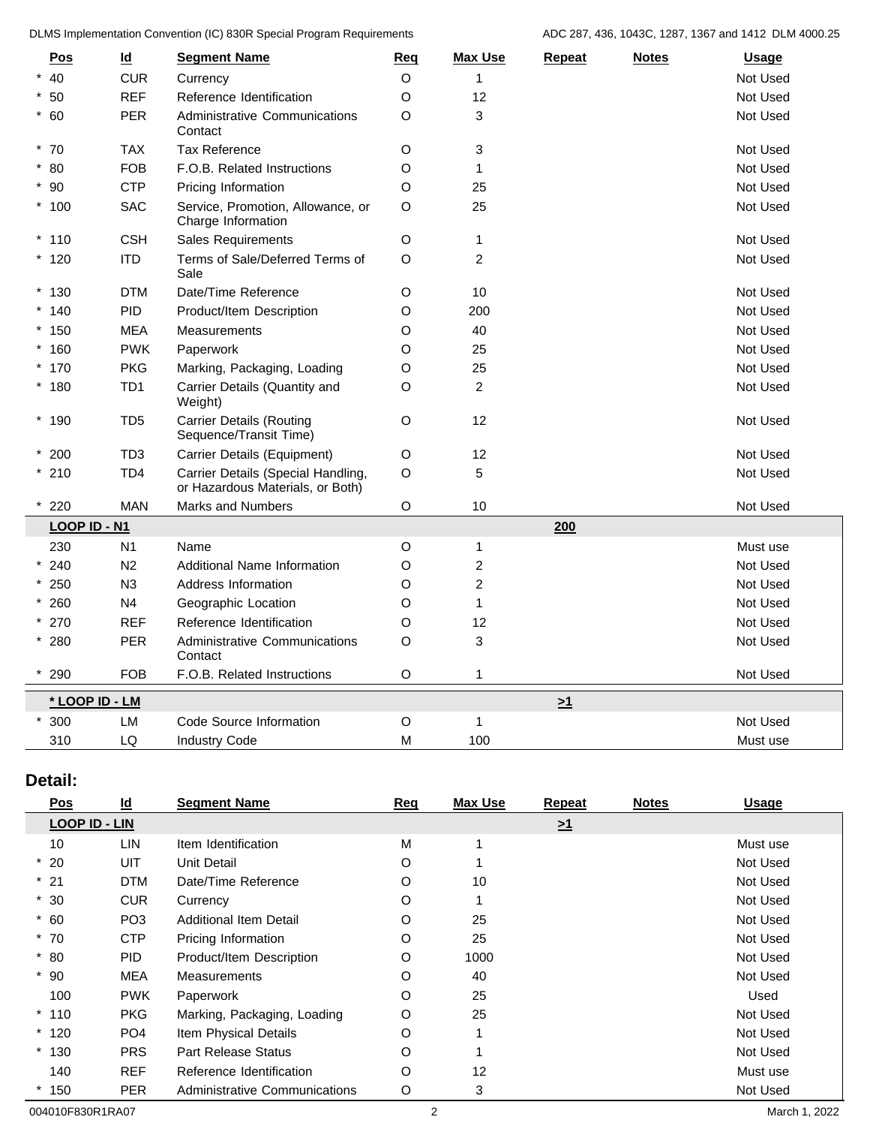DLMS Implementation Convention (IC) 830R Special Program Requirements ADC 287, 436, 1043C, 1287, 1367 and 1412 DLM 4000.25

| Pos            | $\underline{\mathsf{Id}}$ | <b>Segment Name</b>                                                    | Req         | <b>Max Use</b>            | <b>Repeat</b> | <b>Notes</b> | Usage    |
|----------------|---------------------------|------------------------------------------------------------------------|-------------|---------------------------|---------------|--------------|----------|
| $*$ 40         | <b>CUR</b>                | Currency                                                               | O           | -1                        |               |              | Not Used |
| $*50$          | <b>REF</b>                | Reference Identification                                               | O           | 12                        |               |              | Not Used |
| $*$ 60         | PER                       | <b>Administrative Communications</b><br>Contact                        | O           | 3                         |               |              | Not Used |
| $*70$          | <b>TAX</b>                | <b>Tax Reference</b>                                                   | $\mathsf O$ | $\ensuremath{\mathsf{3}}$ |               |              | Not Used |
| $*80$          | FOB                       | F.O.B. Related Instructions                                            | O           | $\mathbf{1}$              |               |              | Not Used |
| $*90$          | <b>CTP</b>                | Pricing Information                                                    | O           | 25                        |               |              | Not Used |
| $*100$         | <b>SAC</b>                | Service, Promotion, Allowance, or<br>Charge Information                | $\circ$     | 25                        |               |              | Not Used |
| $*110$         | <b>CSH</b>                | <b>Sales Requirements</b>                                              | O           | $\mathbf{1}$              |               |              | Not Used |
| $*120$         | <b>ITD</b>                | Terms of Sale/Deferred Terms of<br>Sale                                | $\mathsf O$ | $\overline{2}$            |               |              | Not Used |
| $*130$         | <b>DTM</b>                | Date/Time Reference                                                    | O           | 10                        |               |              | Not Used |
| $*140$         | PID                       | Product/Item Description                                               | $\mathsf O$ | 200                       |               |              | Not Used |
| $*150$         | <b>MEA</b>                | <b>Measurements</b>                                                    | O           | 40                        |               |              | Not Used |
| $*160$         | <b>PWK</b>                | Paperwork                                                              | O           | 25                        |               |              | Not Used |
| $*170$         | <b>PKG</b>                | Marking, Packaging, Loading                                            | O           | 25                        |               |              | Not Used |
| $*180$         | TD <sub>1</sub>           | Carrier Details (Quantity and<br>Weight)                               | O           | $\overline{c}$            |               |              | Not Used |
| $*190$         | TD <sub>5</sub>           | <b>Carrier Details (Routing</b><br>Sequence/Transit Time)              | $\mathsf O$ | 12                        |               |              | Not Used |
| $*200$         | TD <sub>3</sub>           | Carrier Details (Equipment)                                            | $\mathsf O$ | 12                        |               |              | Not Used |
| $*210$         | TD <sub>4</sub>           | Carrier Details (Special Handling,<br>or Hazardous Materials, or Both) | $\mathsf O$ | $\sqrt{5}$                |               |              | Not Used |
| 220            | <b>MAN</b>                | <b>Marks and Numbers</b>                                               | O           | 10                        |               |              | Not Used |
| LOOP ID - N1   |                           |                                                                        |             |                           | 200           |              |          |
| 230            | N <sub>1</sub>            | Name                                                                   | $\mathsf O$ | $\mathbf{1}$              |               |              | Must use |
| $* 240$        | N <sub>2</sub>            | <b>Additional Name Information</b>                                     | $\circ$     | $\overline{c}$            |               |              | Not Used |
| $*250$         | N3                        | Address Information                                                    | O           | $\overline{c}$            |               |              | Not Used |
| $* 260$        | N <sub>4</sub>            | Geographic Location                                                    | $\circ$     | $\overline{1}$            |               |              | Not Used |
| $* 270$        | <b>REF</b>                | Reference Identification                                               | $\mathsf O$ | 12                        |               |              | Not Used |
| $*280$         | PER                       | Administrative Communications<br>Contact                               | $\mathsf O$ | 3                         |               |              | Not Used |
| 290            | <b>FOB</b>                | F.O.B. Related Instructions                                            | $\mathsf O$ | $\overline{\mathbf{1}}$   |               |              | Not Used |
| * LOOP ID - LM |                           |                                                                        |             |                           | $\geq 1$      |              |          |
| $*300$         | LM                        | Code Source Information                                                | O           | $\overline{1}$            |               |              | Not Used |
| 310            | LQ                        | <b>Industry Code</b>                                                   | M           | 100                       |               |              | Must use |
|                |                           |                                                                        |             |                           |               |              |          |

## **Detail:**

| Pos                  | $\underline{\mathsf{Id}}$ | <b>Segment Name</b>           | Req     | <b>Max Use</b> | <b>Repeat</b> | <b>Notes</b> | <b>Usage</b> |
|----------------------|---------------------------|-------------------------------|---------|----------------|---------------|--------------|--------------|
| <b>LOOP ID - LIN</b> |                           |                               |         |                | $\geq 1$      |              |              |
| 10                   | LIN                       | Item Identification           | M       |                |               |              | Must use     |
| $*20$                | UIT                       | Unit Detail                   | O       |                |               |              | Not Used     |
| $*21$                | <b>DTM</b>                | Date/Time Reference           | O       | 10             |               |              | Not Used     |
| $*30$                | <b>CUR</b>                | Currency                      | O       |                |               |              | Not Used     |
| $*$ 60               | PO <sub>3</sub>           | <b>Additional Item Detail</b> | O       | 25             |               |              | Not Used     |
| $*70$                | <b>CTP</b>                | Pricing Information           | O       | 25             |               |              | Not Used     |
| $*80$                | <b>PID</b>                | Product/Item Description      | O       | 1000           |               |              | Not Used     |
| $*90$                | <b>MEA</b>                | <b>Measurements</b>           | $\circ$ | 40             |               |              | Not Used     |
| 100                  | <b>PWK</b>                | Paperwork                     | O       | 25             |               |              | Used         |
| $*110$               | <b>PKG</b>                | Marking, Packaging, Loading   | O       | 25             |               |              | Not Used     |
| $*120$               | PO <sub>4</sub>           | Item Physical Details         | O       |                |               |              | Not Used     |
| $*130$               | <b>PRS</b>                | <b>Part Release Status</b>    | O       |                |               |              | Not Used     |
| 140                  | <b>REF</b>                | Reference Identification      | O       | 12             |               |              | Must use     |
| $*150$               | PER                       | Administrative Communications | O       | 3              |               |              | Not Used     |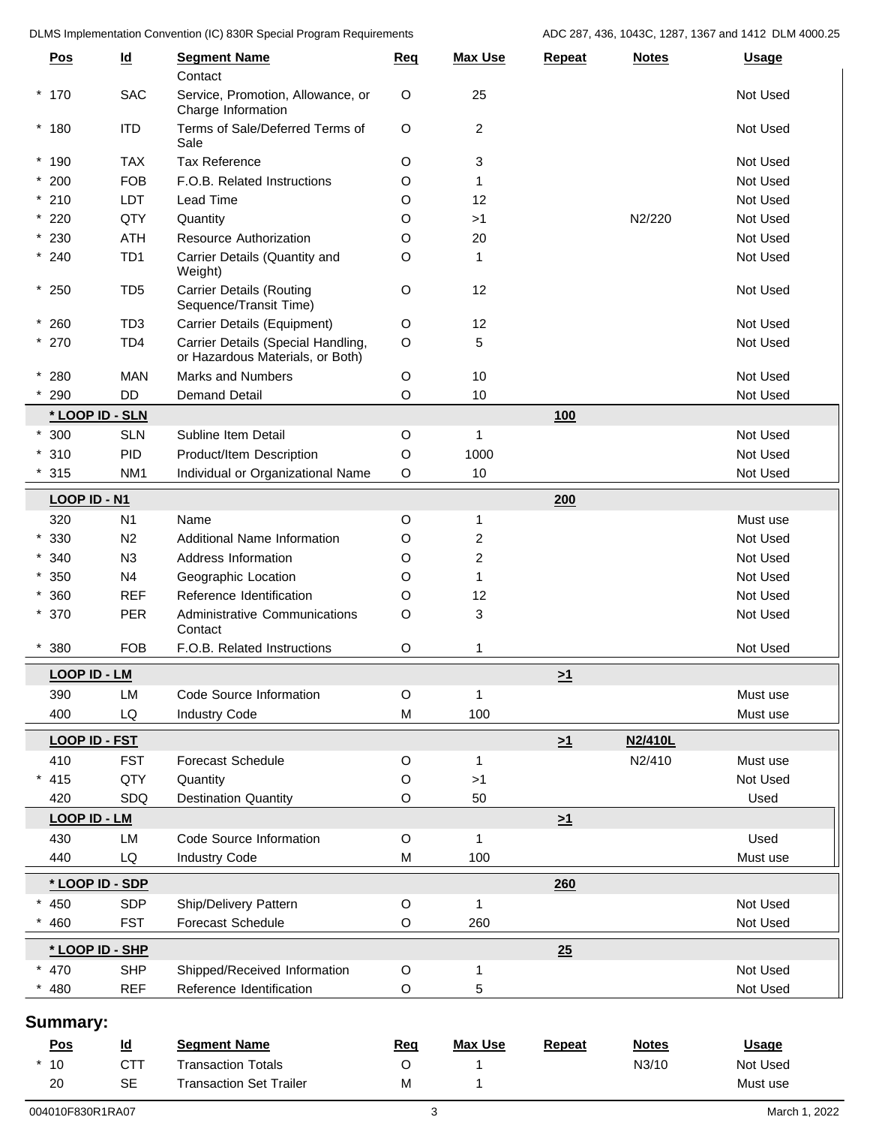DLMS Implementation Convention (IC) 830R Special Program Requirements ADC 287, 436, 1043C, 1287, 1367 and 1412 DLM 4000.25

|   | <b>Pos</b>           | $\underline{\mathsf{Id}}$ | <b>Segment Name</b><br>Contact                                         | Req         | <b>Max Use</b> | Repeat   | <b>Notes</b> | <b>Usage</b> |
|---|----------------------|---------------------------|------------------------------------------------------------------------|-------------|----------------|----------|--------------|--------------|
|   | $*170$               | <b>SAC</b>                | Service, Promotion, Allowance, or<br>Charge Information                | $\circ$     | 25             |          |              | Not Used     |
|   | $*180$               | <b>ITD</b>                | Terms of Sale/Deferred Terms of<br>Sale                                | $\circ$     | $\overline{2}$ |          |              | Not Used     |
|   | $*190$               | <b>TAX</b>                | <b>Tax Reference</b>                                                   | O           | 3              |          |              | Not Used     |
|   | $*200$               | <b>FOB</b>                | F.O.B. Related Instructions                                            | O           | 1              |          |              | Not Used     |
|   | $*210$               | LDT                       | Lead Time                                                              | O           | 12             |          |              | Not Used     |
|   | $*220$               | QTY                       | Quantity                                                               | O           | >1             |          | N2/220       | Not Used     |
|   | $*230$               | <b>ATH</b>                | Resource Authorization                                                 | O           | 20             |          |              | Not Used     |
|   | $*240$               | TD <sub>1</sub>           | Carrier Details (Quantity and<br>Weight)                               | O           | $\mathbf{1}$   |          |              | Not Used     |
|   | $*250$               | TD <sub>5</sub>           | <b>Carrier Details (Routing</b><br>Sequence/Transit Time)              | $\circ$     | 12             |          |              | Not Used     |
|   | $*260$               | TD <sub>3</sub>           | Carrier Details (Equipment)                                            | $\circ$     | 12             |          |              | Not Used     |
|   | $*270$               | TD <sub>4</sub>           | Carrier Details (Special Handling,<br>or Hazardous Materials, or Both) | $\circ$     | 5              |          |              | Not Used     |
|   | $*280$               | <b>MAN</b>                | <b>Marks and Numbers</b>                                               | O           | 10             |          |              | Not Used     |
|   | 290                  | <b>DD</b>                 | <b>Demand Detail</b>                                                   | O           | 10             |          |              | Not Used     |
|   | * LOOP ID - SLN      |                           |                                                                        |             |                | 100      |              |              |
|   | $*300$               | <b>SLN</b>                | Subline Item Detail                                                    | $\circ$     | $\mathbf{1}$   |          |              | Not Used     |
|   | $*310$               | <b>PID</b>                | Product/Item Description                                               | $\circ$     | 1000           |          |              | Not Used     |
|   | 315                  | NM <sub>1</sub>           | Individual or Organizational Name                                      | $\circ$     | $10$           |          |              | Not Used     |
|   | <b>LOOP ID - N1</b>  |                           |                                                                        |             |                | 200      |              |              |
|   | 320                  | N1                        | Name                                                                   | O           | $\mathbf{1}$   |          |              | Must use     |
|   | $*330$               | N <sub>2</sub>            | Additional Name Information                                            | O           | 2              |          |              | Not Used     |
|   | $*340$               | N3                        | Address Information                                                    | O           | 2              |          |              | Not Used     |
|   | $*350$               | N <sub>4</sub>            | Geographic Location                                                    | O           | $\mathbf{1}$   |          |              | Not Used     |
|   | $*360$               | <b>REF</b>                | Reference Identification                                               | O           | 12             |          |              | Not Used     |
|   | $*370$               | PER                       | Administrative Communications<br>Contact                               | $\circ$     | 3              |          |              | Not Used     |
|   | 380                  | <b>FOB</b>                | F.O.B. Related Instructions                                            | O           |                |          |              | Not Used     |
|   | <b>LOOP ID - LM</b>  |                           |                                                                        |             |                | $\geq 1$ |              |              |
|   | 390                  | LM                        | Code Source Information                                                | $\circ$     | $\mathbf{1}$   |          |              | Must use     |
|   | 400                  | LQ                        | <b>Industry Code</b>                                                   | M           | 100            |          |              | Must use     |
|   |                      |                           |                                                                        |             |                |          |              |              |
|   | <b>LOOP ID - FST</b> |                           |                                                                        |             |                | $\geq 1$ | N2/410L      |              |
|   | 410                  | <b>FST</b>                | <b>Forecast Schedule</b>                                               | $\circ$     | $\mathbf{1}$   |          | N2/410       | Must use     |
| * | 415                  | QTY                       | Quantity                                                               | O           | >1             |          |              | Not Used     |
|   | 420                  | SDQ                       | <b>Destination Quantity</b>                                            | $\circ$     | 50             |          |              | Used         |
|   | <b>LOOP ID - LM</b>  |                           |                                                                        |             |                | $\geq 1$ |              |              |
|   | 430                  | LM                        | Code Source Information                                                | $\circ$     | $\mathbf{1}$   |          |              | Used         |
|   | 440                  | LQ                        | <b>Industry Code</b>                                                   | M           | 100            |          |              | Must use     |
|   | * LOOP ID - SDP      |                           |                                                                        |             |                | 260      |              |              |
|   | 450                  | <b>SDP</b>                | Ship/Delivery Pattern                                                  | $\circ$     | $\mathbf{1}$   |          |              | Not Used     |
|   | 460                  | <b>FST</b>                | Forecast Schedule                                                      | $\mathsf O$ | 260            |          |              | Not Used     |
|   | * LOOP ID - SHP      |                           |                                                                        |             |                | 25       |              |              |
|   | 470                  | <b>SHP</b>                | Shipped/Received Information                                           | $\circ$     | 1              |          |              | Not Used     |
|   | 480                  | <b>REF</b>                | Reference Identification                                               | O           | 5              |          |              | Not Used     |
|   |                      |                           |                                                                        |             |                |          |              |              |
|   | <b>Summary:</b>      |                           |                                                                        |             |                |          |              |              |
|   | Pos                  | $\underline{\mathsf{Id}}$ | <b>Segment Name</b>                                                    | Req         | <b>Max Use</b> | Repeat   | <b>Notes</b> | <b>Usage</b> |
|   | $*10$                | <b>CTT</b>                | <b>Transaction Totals</b>                                              | O           | 1              |          | N3/10        | Not Used     |
|   | 20                   | <b>SE</b>                 | <b>Transaction Set Trailer</b>                                         | M           | 1              |          |              | Must use     |
|   |                      |                           |                                                                        |             |                |          |              |              |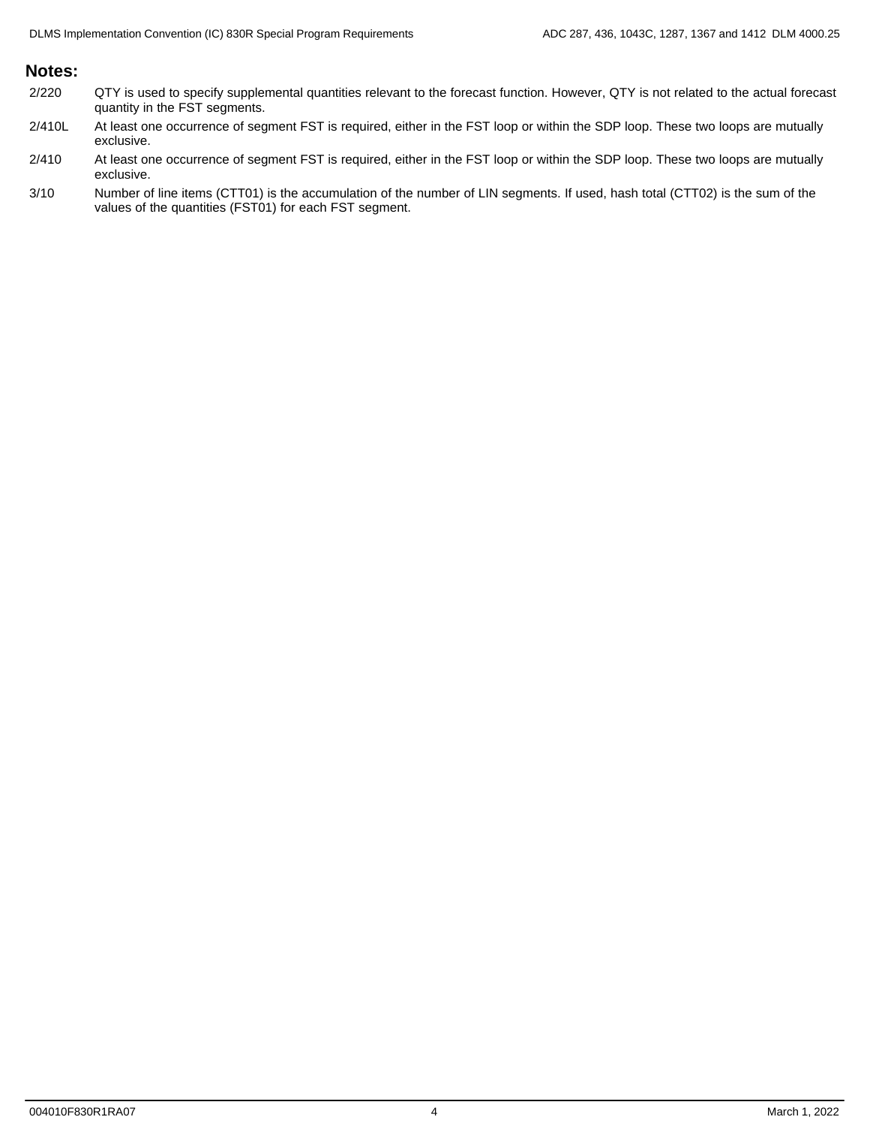## **Notes:**

- 2/220 QTY is used to specify supplemental quantities relevant to the forecast function. However, QTY is not related to the actual forecast quantity in the FST segments.
- 2/410L At least one occurrence of segment FST is required, either in the FST loop or within the SDP loop. These two loops are mutually exclusive.
- 2/410 At least one occurrence of segment FST is required, either in the FST loop or within the SDP loop. These two loops are mutually exclusive.
- 3/10 Number of line items (CTT01) is the accumulation of the number of LIN segments. If used, hash total (CTT02) is the sum of the values of the quantities (FST01) for each FST segment.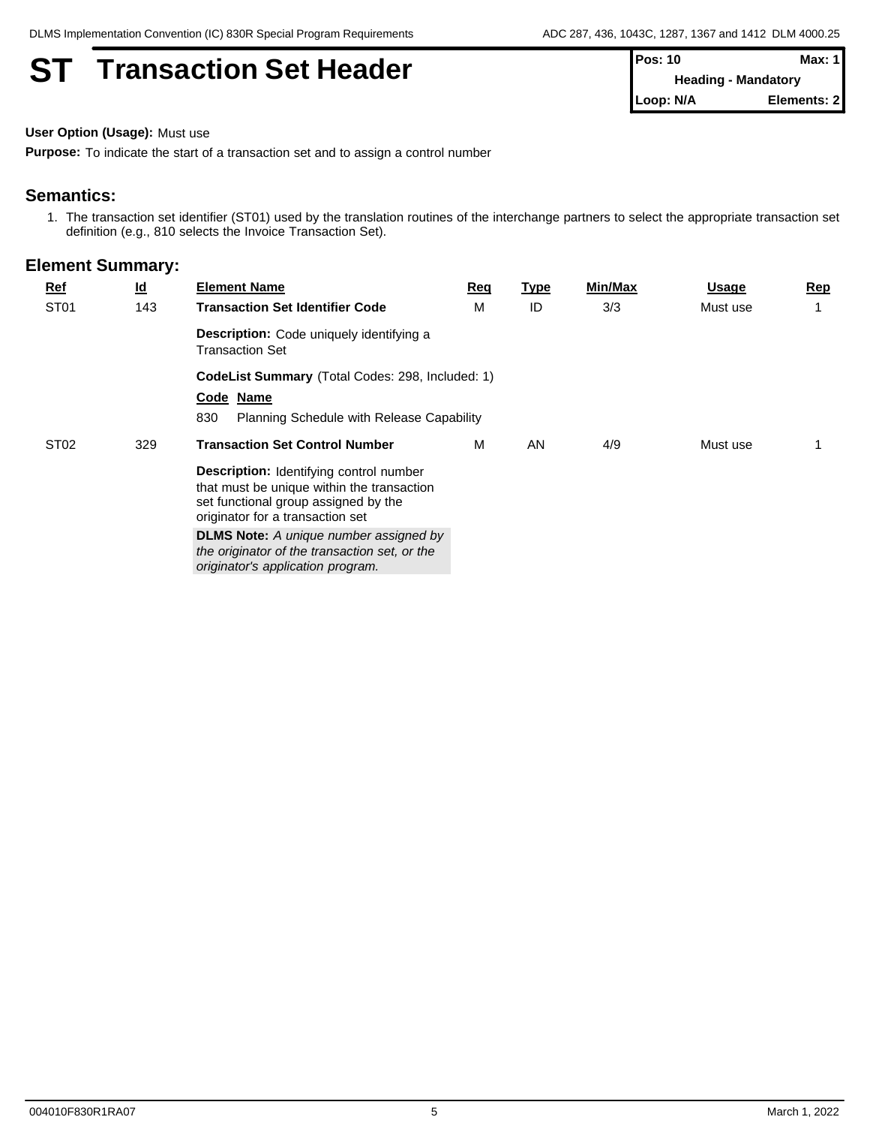## **ST Transaction Set Header**

| Pos: 10   | Max: 1                     |
|-----------|----------------------------|
|           | <b>Heading - Mandatory</b> |
| Loop: N/A | Elements: 21               |

**User Option (Usage):** Must use

**Purpose:** To indicate the start of a transaction set and to assign a control number

## **Semantics:**

1. The transaction set identifier (ST01) used by the translation routines of the interchange partners to select the appropriate transaction set definition (e.g., 810 selects the Invoice Transaction Set).

| <b>Ref</b>       | $\underline{\mathsf{Id}}$ | <b>Element Name</b>                                                                                                                                                      | <b>Req</b> | Type | Min/Max | Usage    | Rep |  |  |  |
|------------------|---------------------------|--------------------------------------------------------------------------------------------------------------------------------------------------------------------------|------------|------|---------|----------|-----|--|--|--|
| ST <sub>01</sub> | 143                       | <b>Transaction Set Identifier Code</b>                                                                                                                                   | M          | ID   | 3/3     | Must use |     |  |  |  |
|                  |                           | <b>Description:</b> Code uniquely identifying a<br><b>Transaction Set</b>                                                                                                |            |      |         |          |     |  |  |  |
|                  |                           | CodeList Summary (Total Codes: 298, Included: 1)                                                                                                                         |            |      |         |          |     |  |  |  |
|                  |                           | Code Name                                                                                                                                                                |            |      |         |          |     |  |  |  |
|                  |                           | 830<br>Planning Schedule with Release Capability                                                                                                                         |            |      |         |          |     |  |  |  |
| ST <sub>02</sub> | 329                       | <b>Transaction Set Control Number</b>                                                                                                                                    | M          | AN   | 4/9     | Must use |     |  |  |  |
|                  |                           | <b>Description:</b> Identifying control number<br>that must be unique within the transaction<br>set functional group assigned by the<br>originator for a transaction set |            |      |         |          |     |  |  |  |
|                  |                           | <b>DLMS Note:</b> A unique number assigned by<br>the originator of the transaction set, or the<br>originator's application program.                                      |            |      |         |          |     |  |  |  |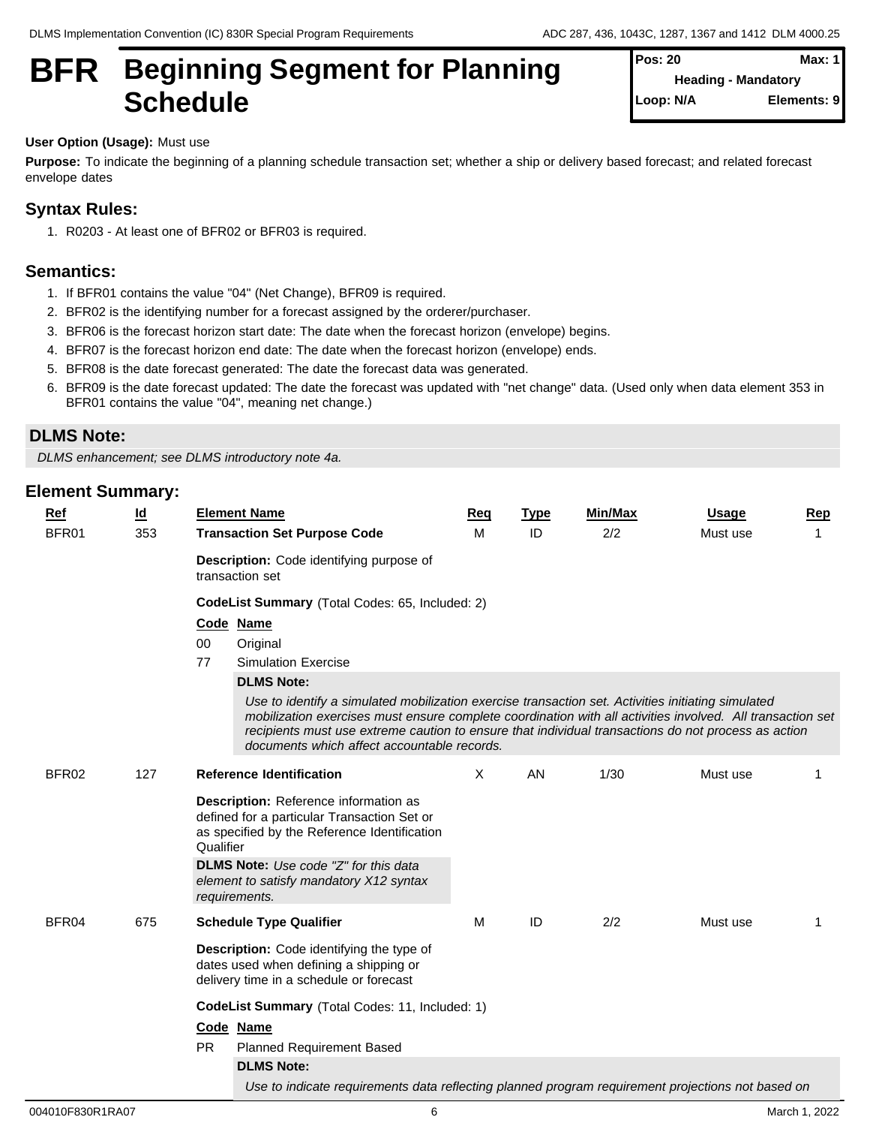## **BFR** Beginning Segment for Planning  $\left\{ \frac{\text{Pos: } 20}{\text{Heading - Mandator}} \right\}$ Schedule **Schedule Schedule Schedule Schedule SCHEDULE**

**Pos: 20 Max: 1 Heading - Mandatory Elements: 9** 

### **User Option (Usage):** Must use

**Purpose:** To indicate the beginning of a planning schedule transaction set; whether a ship or delivery based forecast; and related forecast envelope dates

## **Syntax Rules:**

1. R0203 - At least one of BFR02 or BFR03 is required.

## **Semantics:**

- 1. If BFR01 contains the value "04" (Net Change), BFR09 is required.
- 2. BFR02 is the identifying number for a forecast assigned by the orderer/purchaser.
- 3. BFR06 is the forecast horizon start date: The date when the forecast horizon (envelope) begins.
- 4. BFR07 is the forecast horizon end date: The date when the forecast horizon (envelope) ends.
- 5. BFR08 is the date forecast generated: The date the forecast data was generated.
- 6. BFR09 is the date forecast updated: The date the forecast was updated with "net change" data. (Used only when data element 353 in BFR01 contains the value "04", meaning net change.)

## **DLMS Note:**

*DLMS enhancement; see DLMS introductory note 4a.*

| $Ref$ | <u>ld</u> | <b>Element Name</b>                                                                                                                                                                                                                                                                                                                                                    | Req      | <b>Type</b> | Min/Max | Usage    | <b>Rep</b> |
|-------|-----------|------------------------------------------------------------------------------------------------------------------------------------------------------------------------------------------------------------------------------------------------------------------------------------------------------------------------------------------------------------------------|----------|-------------|---------|----------|------------|
| BFR01 | 353       | <b>Transaction Set Purpose Code</b>                                                                                                                                                                                                                                                                                                                                    | м        | ID          | 2/2     | Must use | 1          |
|       |           | Description: Code identifying purpose of<br>transaction set                                                                                                                                                                                                                                                                                                            |          |             |         |          |            |
|       |           | CodeList Summary (Total Codes: 65, Included: 2)                                                                                                                                                                                                                                                                                                                        |          |             |         |          |            |
|       |           | Code Name                                                                                                                                                                                                                                                                                                                                                              |          |             |         |          |            |
|       |           | 00<br>Original<br>77<br><b>Simulation Exercise</b>                                                                                                                                                                                                                                                                                                                     |          |             |         |          |            |
|       |           | <b>DLMS Note:</b>                                                                                                                                                                                                                                                                                                                                                      |          |             |         |          |            |
|       |           | Use to identify a simulated mobilization exercise transaction set. Activities initiating simulated<br>mobilization exercises must ensure complete coordination with all activities involved. All transaction set<br>recipients must use extreme caution to ensure that individual transactions do not process as action<br>documents which affect accountable records. |          |             |         |          |            |
| BFR02 | 127       | <b>Reference Identification</b>                                                                                                                                                                                                                                                                                                                                        | $\times$ | AN          | 1/30    | Must use |            |
|       |           | Description: Reference information as<br>defined for a particular Transaction Set or<br>as specified by the Reference Identification<br>Qualifier                                                                                                                                                                                                                      |          |             |         |          |            |
|       |           | <b>DLMS Note:</b> Use code "Z" for this data<br>element to satisfy mandatory X12 syntax<br>requirements.                                                                                                                                                                                                                                                               |          |             |         |          |            |
| BFR04 | 675       | <b>Schedule Type Qualifier</b>                                                                                                                                                                                                                                                                                                                                         | M        | ID          | 2/2     | Must use |            |
|       |           | <b>Description:</b> Code identifying the type of<br>dates used when defining a shipping or<br>delivery time in a schedule or forecast                                                                                                                                                                                                                                  |          |             |         |          |            |
|       |           | CodeList Summary (Total Codes: 11, Included: 1)                                                                                                                                                                                                                                                                                                                        |          |             |         |          |            |
|       |           | Code Name<br><b>PR</b><br><b>Planned Requirement Based</b>                                                                                                                                                                                                                                                                                                             |          |             |         |          |            |
|       |           | <b>DLMS Note:</b>                                                                                                                                                                                                                                                                                                                                                      |          |             |         |          |            |
|       |           | Use to indicate requirements data reflecting planned program requirement projections not based on                                                                                                                                                                                                                                                                      |          |             |         |          |            |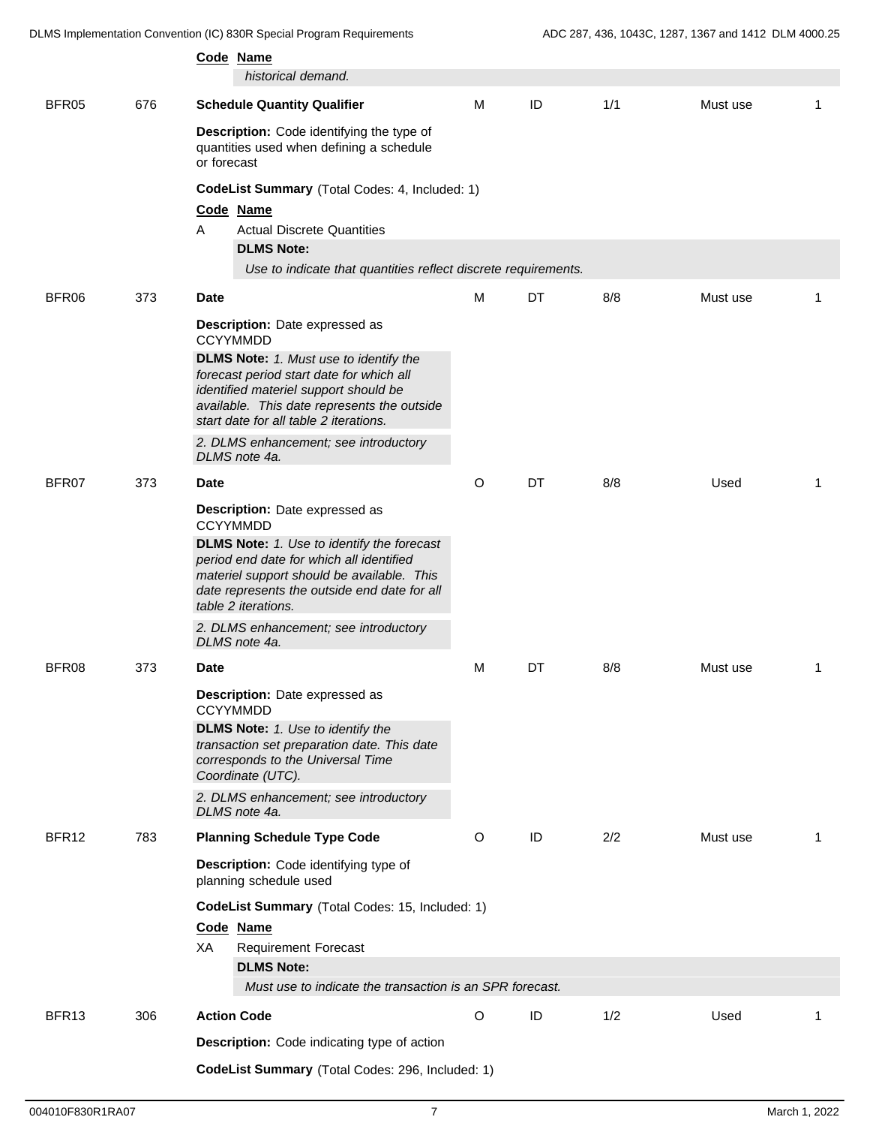DLMS Implementation Convention (IC) 830R Special Program Requirements ADC 287, 436, 1043C, 1287, 1367 and 1412 DLM 4000.25

|       |     |                                                                                                                                                                                                                                                                                  | Code Name<br>historical demand.                                                                                                                                                                                    |         |    |     |          |                         |
|-------|-----|----------------------------------------------------------------------------------------------------------------------------------------------------------------------------------------------------------------------------------------------------------------------------------|--------------------------------------------------------------------------------------------------------------------------------------------------------------------------------------------------------------------|---------|----|-----|----------|-------------------------|
| BFR05 | 676 |                                                                                                                                                                                                                                                                                  | <b>Schedule Quantity Qualifier</b>                                                                                                                                                                                 | M       | ID | 1/1 | Must use | -1                      |
|       |     | or forecast                                                                                                                                                                                                                                                                      | Description: Code identifying the type of<br>quantities used when defining a schedule                                                                                                                              |         |    |     |          |                         |
|       |     |                                                                                                                                                                                                                                                                                  | CodeList Summary (Total Codes: 4, Included: 1)                                                                                                                                                                     |         |    |     |          |                         |
|       |     |                                                                                                                                                                                                                                                                                  | Code Name                                                                                                                                                                                                          |         |    |     |          |                         |
|       |     | Α                                                                                                                                                                                                                                                                                | <b>Actual Discrete Quantities</b>                                                                                                                                                                                  |         |    |     |          |                         |
|       |     |                                                                                                                                                                                                                                                                                  | <b>DLMS Note:</b>                                                                                                                                                                                                  |         |    |     |          |                         |
|       |     |                                                                                                                                                                                                                                                                                  | Use to indicate that quantities reflect discrete requirements.                                                                                                                                                     |         |    |     |          |                         |
| BFR06 | 373 | <b>Date</b>                                                                                                                                                                                                                                                                      |                                                                                                                                                                                                                    | M       | DT | 8/8 | Must use | -1                      |
|       |     | Description: Date expressed as<br><b>CCYYMMDD</b><br><b>DLMS Note:</b> 1. Must use to identify the<br>forecast period start date for which all<br>identified materiel support should be<br>available. This date represents the outside<br>start date for all table 2 iterations. |                                                                                                                                                                                                                    |         |    |     |          |                         |
|       |     |                                                                                                                                                                                                                                                                                  | 2. DLMS enhancement; see introductory<br>DLMS note 4a.                                                                                                                                                             |         |    |     |          |                         |
| BFR07 | 373 | <b>Date</b>                                                                                                                                                                                                                                                                      |                                                                                                                                                                                                                    | O       | DT | 8/8 | Used     | -1                      |
|       |     |                                                                                                                                                                                                                                                                                  | Description: Date expressed as<br><b>CCYYMMDD</b>                                                                                                                                                                  |         |    |     |          |                         |
|       |     |                                                                                                                                                                                                                                                                                  | <b>DLMS Note:</b> 1. Use to identify the forecast<br>period end date for which all identified<br>materiel support should be available. This<br>date represents the outside end date for all<br>table 2 iterations. |         |    |     |          |                         |
|       |     |                                                                                                                                                                                                                                                                                  | 2. DLMS enhancement; see introductory<br>DLMS note 4a.                                                                                                                                                             |         |    |     |          |                         |
| BFR08 | 373 | Date                                                                                                                                                                                                                                                                             |                                                                                                                                                                                                                    | M       | DT | 8/8 | Must use | $\overline{\mathbf{1}}$ |
|       |     |                                                                                                                                                                                                                                                                                  | <b>Description:</b> Date expressed as<br><b>CCYYMMDD</b>                                                                                                                                                           |         |    |     |          |                         |
|       |     |                                                                                                                                                                                                                                                                                  | DLMS Note: 1. Use to identify the<br>transaction set preparation date. This date<br>corresponds to the Universal Time<br>Coordinate (UTC).                                                                         |         |    |     |          |                         |
|       |     |                                                                                                                                                                                                                                                                                  | 2. DLMS enhancement; see introductory<br>DLMS note 4a.                                                                                                                                                             |         |    |     |          |                         |
| BFR12 | 783 |                                                                                                                                                                                                                                                                                  | <b>Planning Schedule Type Code</b>                                                                                                                                                                                 | $\circ$ | ID | 2/2 | Must use | $\overline{1}$          |
|       |     |                                                                                                                                                                                                                                                                                  | Description: Code identifying type of<br>planning schedule used                                                                                                                                                    |         |    |     |          |                         |
|       |     |                                                                                                                                                                                                                                                                                  | CodeList Summary (Total Codes: 15, Included: 1)                                                                                                                                                                    |         |    |     |          |                         |
|       |     |                                                                                                                                                                                                                                                                                  | Code Name                                                                                                                                                                                                          |         |    |     |          |                         |
|       |     | XA                                                                                                                                                                                                                                                                               | <b>Requirement Forecast</b>                                                                                                                                                                                        |         |    |     |          |                         |
|       |     |                                                                                                                                                                                                                                                                                  | <b>DLMS Note:</b>                                                                                                                                                                                                  |         |    |     |          |                         |
|       |     |                                                                                                                                                                                                                                                                                  | Must use to indicate the transaction is an SPR forecast.                                                                                                                                                           |         |    |     |          |                         |
| BFR13 | 306 |                                                                                                                                                                                                                                                                                  | <b>Action Code</b>                                                                                                                                                                                                 | $\circ$ | ID | 1/2 | Used     | -1                      |
|       |     |                                                                                                                                                                                                                                                                                  | Description: Code indicating type of action                                                                                                                                                                        |         |    |     |          |                         |
|       |     |                                                                                                                                                                                                                                                                                  | CodeList Summary (Total Codes: 296, Included: 1)                                                                                                                                                                   |         |    |     |          |                         |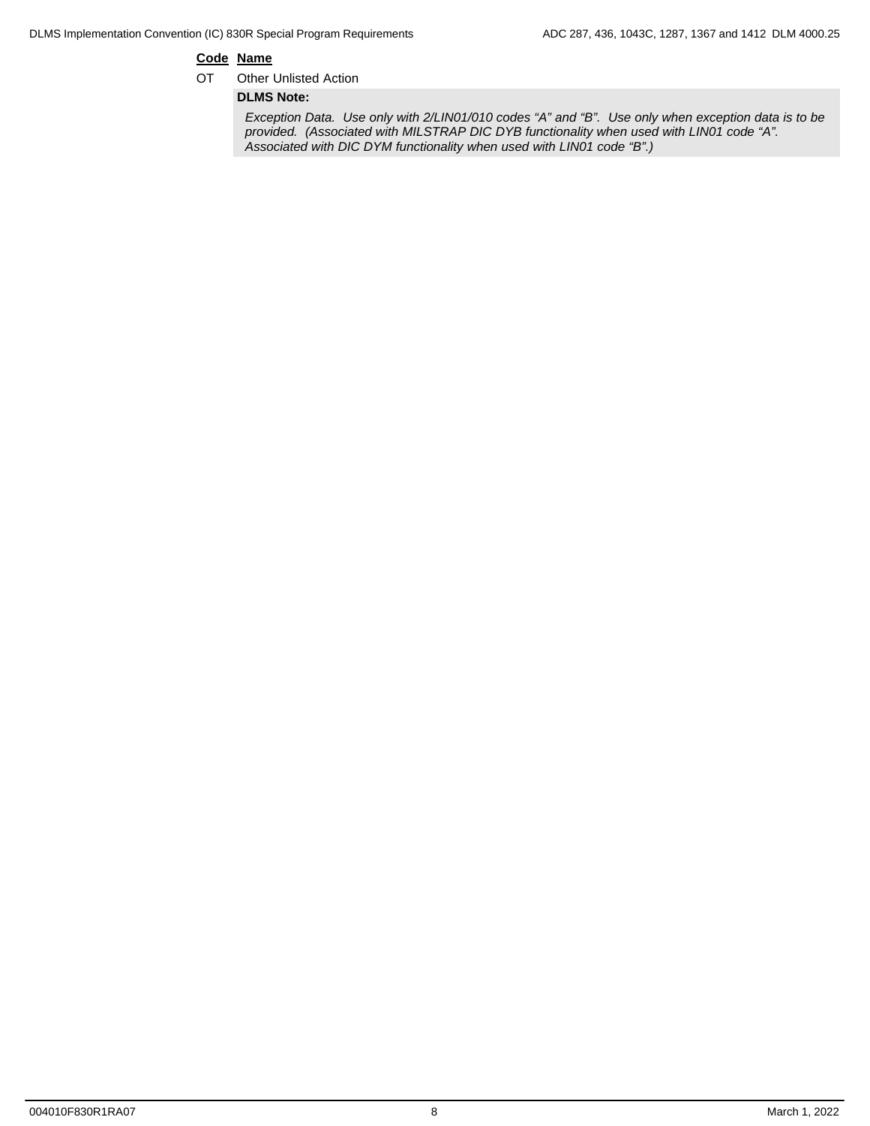## **Code Name**

OT Other Unlisted Action

**DLMS Note:**

*Exception Data. Use only with 2/LIN01/010 codes "A" and "B". Use only when exception data is to be provided. (Associated with MILSTRAP DIC DYB functionality when used with LIN01 code "A". Associated with DIC DYM functionality when used with LIN01 code "B".)*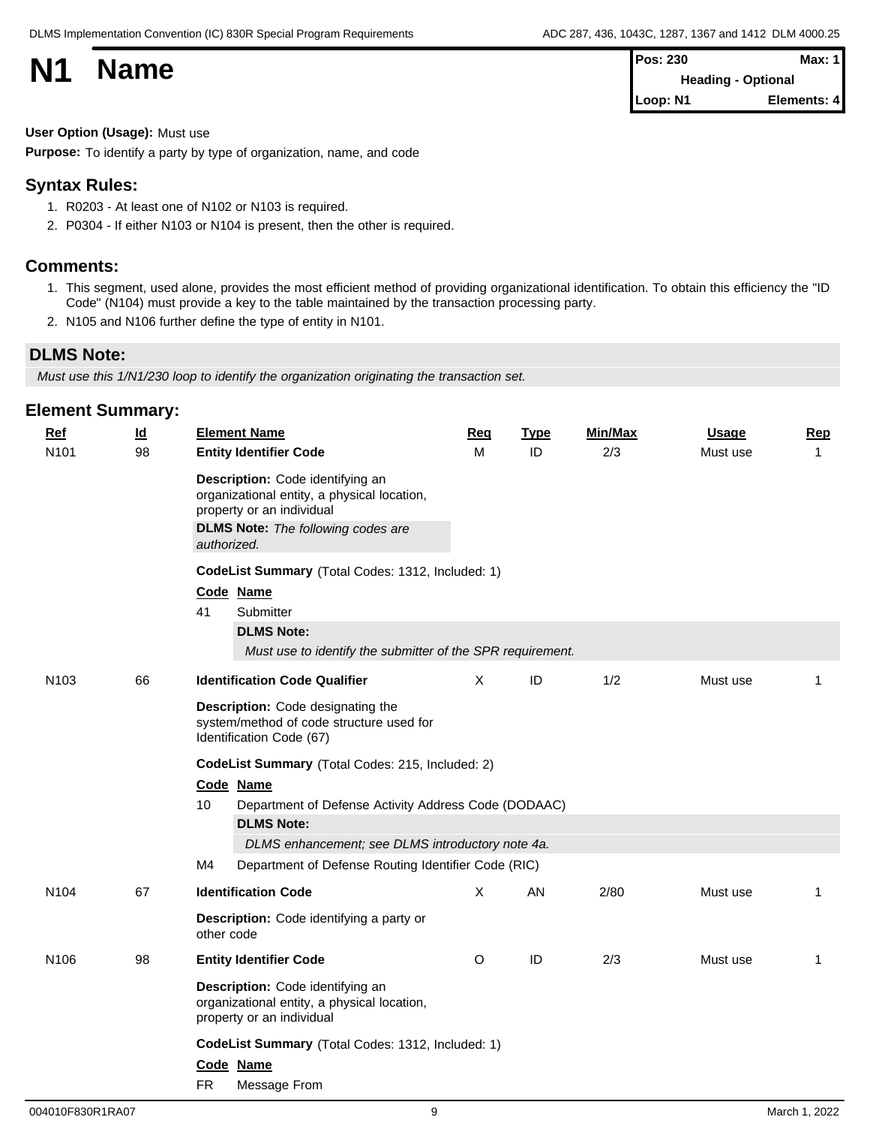

| <b>N1</b> | <b>Name</b> | <b>Pos: 230</b>           | Max: $1$    |  |
|-----------|-------------|---------------------------|-------------|--|
|           |             | <b>Heading - Optional</b> |             |  |
|           |             | Loop: N1                  | Elements: 4 |  |

### **User Option (Usage):** Must use

**Purpose:** To identify a party by type of organization, name, and code

### **Syntax Rules:**

- 1. R0203 At least one of N102 or N103 is required.
- 2. P0304 If either N103 or N104 is present, then the other is required.

## **Comments:**

- 1. This segment, used alone, provides the most efficient method of providing organizational identification. To obtain this efficiency the "ID Code" (N104) must provide a key to the table maintained by the transaction processing party.
- 2. N105 and N106 further define the type of entity in N101.

## **DLMS Note:**

*Must use this 1/N1/230 loop to identify the organization originating the transaction set.*

| $Ref$            | <u>ld</u> |                                                  | <b>Element Name</b>                                                                                                                                       | <b>Req</b> | <b>Type</b> | Min/Max | <b>Usage</b> | <b>Rep</b>   |  |  |  |
|------------------|-----------|--------------------------------------------------|-----------------------------------------------------------------------------------------------------------------------------------------------------------|------------|-------------|---------|--------------|--------------|--|--|--|
| N101             | 98        |                                                  | <b>Entity Identifier Code</b>                                                                                                                             | M          | ID          | 2/3     | Must use     | $\mathbf{1}$ |  |  |  |
|                  |           | authorized.                                      | Description: Code identifying an<br>organizational entity, a physical location,<br>property or an individual<br><b>DLMS Note:</b> The following codes are |            |             |         |              |              |  |  |  |
|                  |           |                                                  | CodeList Summary (Total Codes: 1312, Included: 1)                                                                                                         |            |             |         |              |              |  |  |  |
|                  |           | Code Name                                        |                                                                                                                                                           |            |             |         |              |              |  |  |  |
|                  |           | 41                                               | Submitter                                                                                                                                                 |            |             |         |              |              |  |  |  |
|                  |           |                                                  | <b>DLMS Note:</b>                                                                                                                                         |            |             |         |              |              |  |  |  |
|                  |           |                                                  | Must use to identify the submitter of the SPR requirement.                                                                                                |            |             |         |              |              |  |  |  |
| N <sub>103</sub> | 66        |                                                  | <b>Identification Code Qualifier</b>                                                                                                                      | $\times$   | ID          | 1/2     | Must use     | 1            |  |  |  |
|                  |           |                                                  | Description: Code designating the<br>system/method of code structure used for<br>Identification Code (67)                                                 |            |             |         |              |              |  |  |  |
|                  |           | CodeList Summary (Total Codes: 215, Included: 2) |                                                                                                                                                           |            |             |         |              |              |  |  |  |
|                  |           |                                                  | Code Name                                                                                                                                                 |            |             |         |              |              |  |  |  |
|                  |           | 10                                               | Department of Defense Activity Address Code (DODAAC)                                                                                                      |            |             |         |              |              |  |  |  |
|                  |           |                                                  | <b>DLMS Note:</b>                                                                                                                                         |            |             |         |              |              |  |  |  |
|                  |           |                                                  | DLMS enhancement; see DLMS introductory note 4a.                                                                                                          |            |             |         |              |              |  |  |  |
|                  |           | M4                                               | Department of Defense Routing Identifier Code (RIC)                                                                                                       |            |             |         |              |              |  |  |  |
| N <sub>104</sub> | 67        |                                                  | <b>Identification Code</b>                                                                                                                                | X          | AN          | 2/80    | Must use     | 1            |  |  |  |
|                  |           | other code                                       | Description: Code identifying a party or                                                                                                                  |            |             |         |              |              |  |  |  |
| N106             | 98        |                                                  | <b>Entity Identifier Code</b>                                                                                                                             | O          | ID          | 2/3     | Must use     | $\mathbf 1$  |  |  |  |
|                  |           |                                                  | Description: Code identifying an<br>organizational entity, a physical location,<br>property or an individual                                              |            |             |         |              |              |  |  |  |
|                  |           |                                                  | CodeList Summary (Total Codes: 1312, Included: 1)                                                                                                         |            |             |         |              |              |  |  |  |
|                  |           |                                                  | Code Name                                                                                                                                                 |            |             |         |              |              |  |  |  |
|                  |           | <b>FR</b>                                        | Message From                                                                                                                                              |            |             |         |              |              |  |  |  |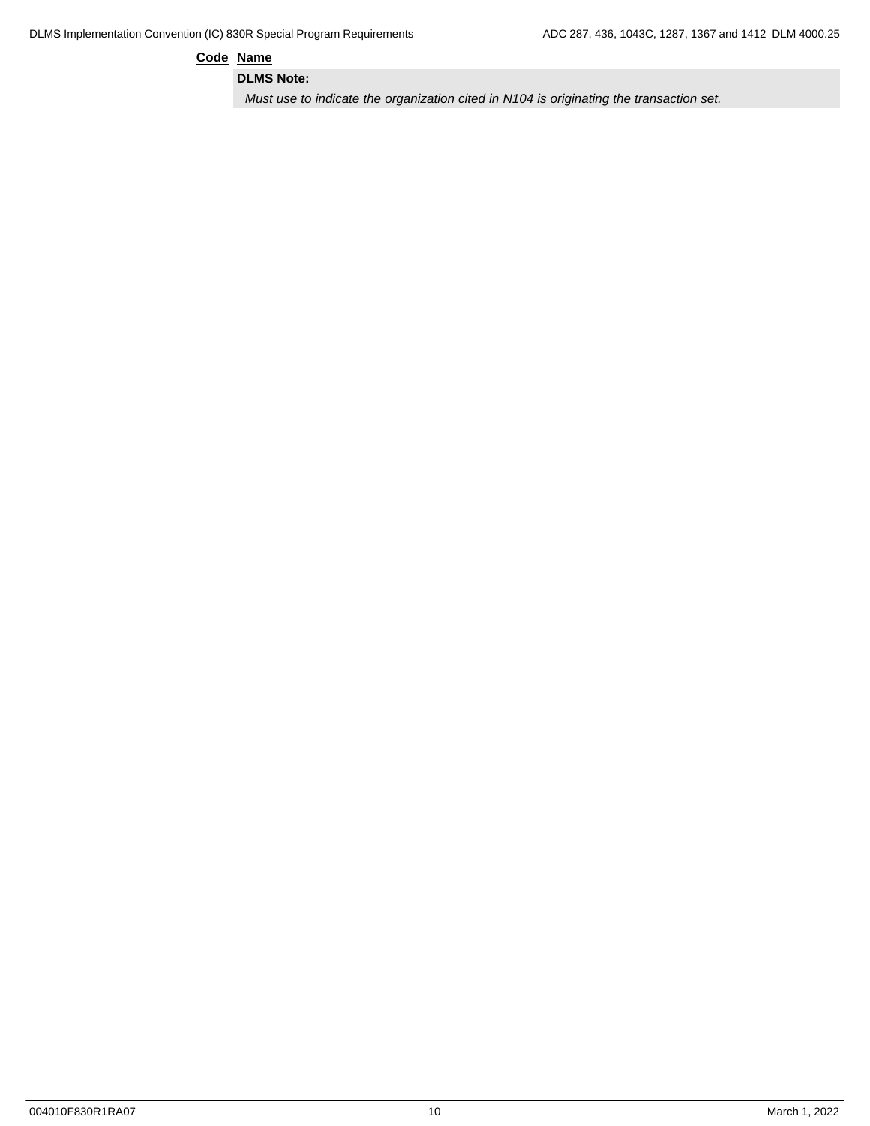**Code Name**

**DLMS Note:**

*Must use to indicate the organization cited in N104 is originating the transaction set.*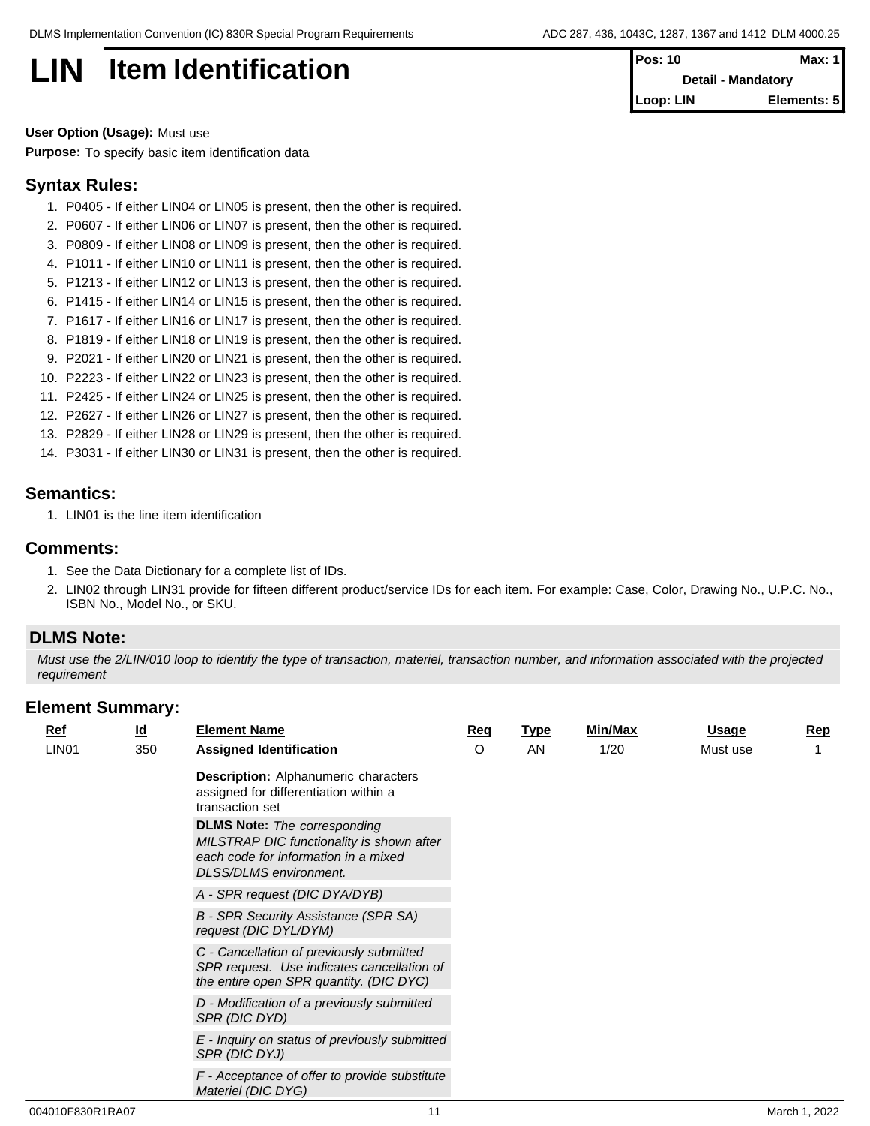## **LIN** Item Identification

| IPos: 10                  | Max: 1      |  |
|---------------------------|-------------|--|
| <b>Detail - Mandatory</b> |             |  |
| <b>I</b> Loop: LIN        | Elements: 5 |  |

**User Option (Usage):** Must use **Purpose:** To specify basic item identification data

### **Syntax Rules:**

- 1. P0405 If either LIN04 or LIN05 is present, then the other is required.
- 2. P0607 If either LIN06 or LIN07 is present, then the other is required.
- 3. P0809 If either LIN08 or LIN09 is present, then the other is required.
- 4. P1011 If either LIN10 or LIN11 is present, then the other is required.
- 5. P1213 If either LIN12 or LIN13 is present, then the other is required.
- 6. P1415 If either LIN14 or LIN15 is present, then the other is required.
- 7. P1617 If either LIN16 or LIN17 is present, then the other is required.
- 8. P1819 If either LIN18 or LIN19 is present, then the other is required.
- 9. P2021 If either LIN20 or LIN21 is present, then the other is required.
- 10. P2223 If either LIN22 or LIN23 is present, then the other is required.
- 11. P2425 If either LIN24 or LIN25 is present, then the other is required.
- 12. P2627 If either LIN26 or LIN27 is present, then the other is required.
- 13. P2829 If either LIN28 or LIN29 is present, then the other is required.
- 14. P3031 If either LIN30 or LIN31 is present, then the other is required.

## **Semantics:**

1. LIN01 is the line item identification

### **Comments:**

- 1. See the Data Dictionary for a complete list of IDs.
- 2. LIN02 through LIN31 provide for fifteen different product/service IDs for each item. For example: Case, Color, Drawing No., U.P.C. No., ISBN No., Model No., or SKU.

## **DLMS Note:**

*Must use the 2/LIN/010 loop to identify the type of transaction, materiel, transaction number, and information associated with the projected requirement*

| <b>Ref</b>        | $\underline{\mathsf{Id}}$ | <b>Element Name</b>                                                                                                                                       | <u>Req</u> | <u>Type</u> | Min/Max | <b>Usage</b> | Rep |
|-------------------|---------------------------|-----------------------------------------------------------------------------------------------------------------------------------------------------------|------------|-------------|---------|--------------|-----|
| LIN <sub>01</sub> | 350                       | <b>Assigned Identification</b>                                                                                                                            | O          | AN          | 1/20    | Must use     |     |
|                   |                           | <b>Description:</b> Alphanumeric characters<br>assigned for differentiation within a<br>transaction set                                                   |            |             |         |              |     |
|                   |                           | <b>DLMS Note:</b> The corresponding<br>MILSTRAP DIC functionality is shown after<br>each code for information in a mixed<br><b>DLSS/DLMS</b> environment. |            |             |         |              |     |
|                   |                           | A - SPR request (DIC DYA/DYB)                                                                                                                             |            |             |         |              |     |
|                   |                           | <b>B</b> - SPR Security Assistance (SPR SA)<br>request (DIC DYL/DYM)                                                                                      |            |             |         |              |     |
|                   |                           | C - Cancellation of previously submitted<br>SPR request. Use indicates cancellation of<br>the entire open SPR quantity. (DIC DYC)                         |            |             |         |              |     |
|                   |                           | D - Modification of a previously submitted<br>SPR (DIC DYD)                                                                                               |            |             |         |              |     |
|                   |                           | E - Inquiry on status of previously submitted<br>SPR (DIC DYJ)                                                                                            |            |             |         |              |     |
|                   |                           | F - Acceptance of offer to provide substitute<br>Materiel (DIC DYG)                                                                                       |            |             |         |              |     |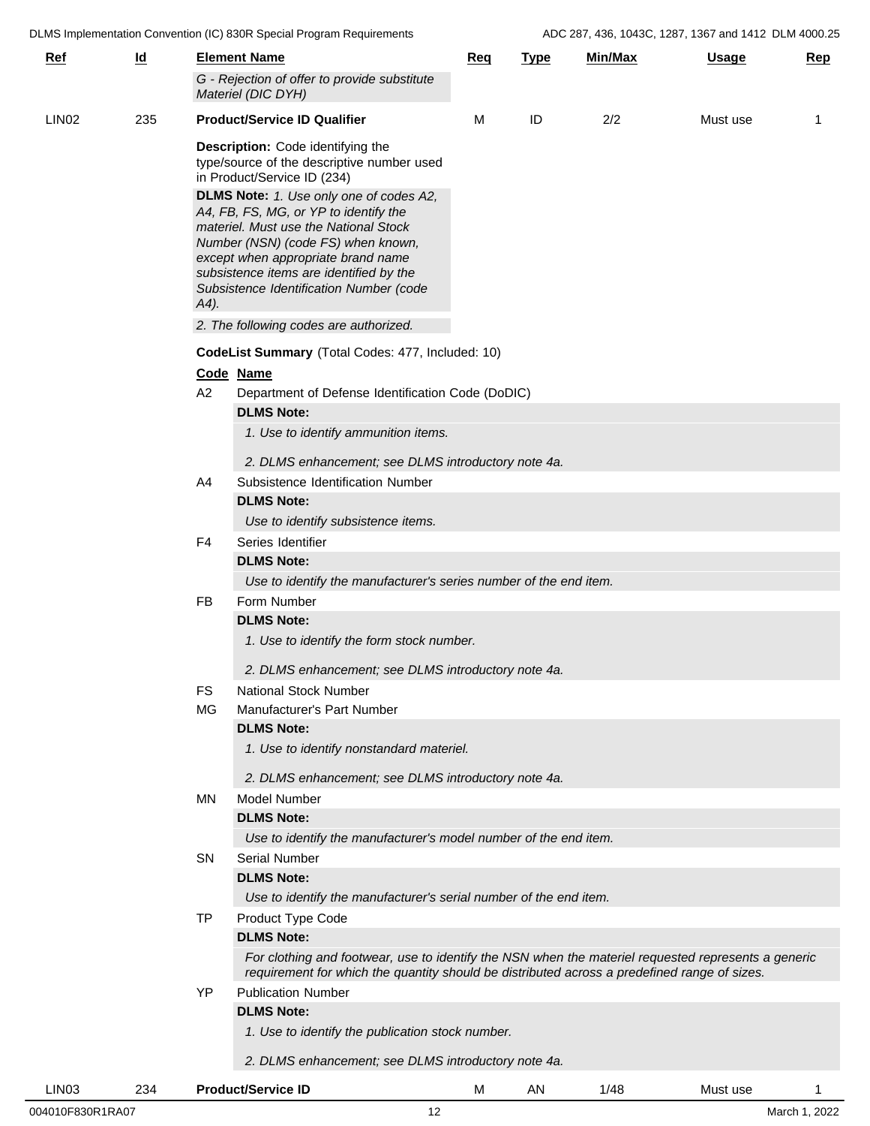|            |           |           |                                                                                                                                                                                                                                                                                                                                                                                                                                                         |            |             |         | $100$ LOT, 100, 10100, 1201, 1001 and 1112 BEM |     |
|------------|-----------|-----------|---------------------------------------------------------------------------------------------------------------------------------------------------------------------------------------------------------------------------------------------------------------------------------------------------------------------------------------------------------------------------------------------------------------------------------------------------------|------------|-------------|---------|------------------------------------------------|-----|
| <u>Ref</u> | <u>ld</u> |           | <b>Element Name</b>                                                                                                                                                                                                                                                                                                                                                                                                                                     | <u>Req</u> | <b>Type</b> | Min/Max | <b>Usage</b>                                   | Rep |
|            |           |           | G - Rejection of offer to provide substitute<br>Materiel (DIC DYH)                                                                                                                                                                                                                                                                                                                                                                                      |            |             |         |                                                |     |
| LIN02      | 235       |           | <b>Product/Service ID Qualifier</b>                                                                                                                                                                                                                                                                                                                                                                                                                     | м          | ID          | 2/2     | Must use                                       | -1  |
|            |           | $(A4)$ .  | Description: Code identifying the<br>type/source of the descriptive number used<br>in Product/Service ID (234)<br>DLMS Note: 1. Use only one of codes A2,<br>A4, FB, FS, MG, or YP to identify the<br>materiel. Must use the National Stock<br>Number (NSN) (code FS) when known,<br>except when appropriate brand name<br>subsistence items are identified by the<br>Subsistence Identification Number (code<br>2. The following codes are authorized. |            |             |         |                                                |     |
|            |           |           | CodeList Summary (Total Codes: 477, Included: 10)                                                                                                                                                                                                                                                                                                                                                                                                       |            |             |         |                                                |     |
|            |           | Code Name |                                                                                                                                                                                                                                                                                                                                                                                                                                                         |            |             |         |                                                |     |
|            |           | A2        | Department of Defense Identification Code (DoDIC)<br><b>DLMS Note:</b><br>1. Use to identify ammunition items.                                                                                                                                                                                                                                                                                                                                          |            |             |         |                                                |     |
|            |           |           | 2. DLMS enhancement; see DLMS introductory note 4a.                                                                                                                                                                                                                                                                                                                                                                                                     |            |             |         |                                                |     |
|            |           | A4        | Subsistence Identification Number                                                                                                                                                                                                                                                                                                                                                                                                                       |            |             |         |                                                |     |
|            |           |           | <b>DLMS Note:</b>                                                                                                                                                                                                                                                                                                                                                                                                                                       |            |             |         |                                                |     |
|            |           |           | Use to identify subsistence items.                                                                                                                                                                                                                                                                                                                                                                                                                      |            |             |         |                                                |     |
|            |           | F4        | Series Identifier                                                                                                                                                                                                                                                                                                                                                                                                                                       |            |             |         |                                                |     |
|            |           |           | <b>DLMS Note:</b>                                                                                                                                                                                                                                                                                                                                                                                                                                       |            |             |         |                                                |     |
|            |           |           | Use to identify the manufacturer's series number of the end item.                                                                                                                                                                                                                                                                                                                                                                                       |            |             |         |                                                |     |
|            |           | FB        | Form Number                                                                                                                                                                                                                                                                                                                                                                                                                                             |            |             |         |                                                |     |
|            |           |           | <b>DLMS Note:</b>                                                                                                                                                                                                                                                                                                                                                                                                                                       |            |             |         |                                                |     |
|            |           |           | 1. Use to identify the form stock number.                                                                                                                                                                                                                                                                                                                                                                                                               |            |             |         |                                                |     |
|            |           |           | 2. DLMS enhancement; see DLMS introductory note 4a.                                                                                                                                                                                                                                                                                                                                                                                                     |            |             |         |                                                |     |
|            |           | <b>FS</b> | <b>National Stock Number</b>                                                                                                                                                                                                                                                                                                                                                                                                                            |            |             |         |                                                |     |
|            |           | <b>MG</b> | Manufacturer's Part Number                                                                                                                                                                                                                                                                                                                                                                                                                              |            |             |         |                                                |     |
|            |           |           | <b>DLMS Note:</b>                                                                                                                                                                                                                                                                                                                                                                                                                                       |            |             |         |                                                |     |
|            |           |           | 1. Use to identify nonstandard materiel.                                                                                                                                                                                                                                                                                                                                                                                                                |            |             |         |                                                |     |
|            |           |           | 2. DLMS enhancement; see DLMS introductory note 4a.                                                                                                                                                                                                                                                                                                                                                                                                     |            |             |         |                                                |     |
|            |           | MN.       | <b>Model Number</b>                                                                                                                                                                                                                                                                                                                                                                                                                                     |            |             |         |                                                |     |
|            |           |           | <b>DLMS Note:</b>                                                                                                                                                                                                                                                                                                                                                                                                                                       |            |             |         |                                                |     |
|            |           |           | Use to identify the manufacturer's model number of the end item.                                                                                                                                                                                                                                                                                                                                                                                        |            |             |         |                                                |     |
|            |           | SN        | <b>Serial Number</b>                                                                                                                                                                                                                                                                                                                                                                                                                                    |            |             |         |                                                |     |
|            |           |           | <b>DLMS Note:</b>                                                                                                                                                                                                                                                                                                                                                                                                                                       |            |             |         |                                                |     |
|            |           |           | Use to identify the manufacturer's serial number of the end item.                                                                                                                                                                                                                                                                                                                                                                                       |            |             |         |                                                |     |
|            |           | TP        | Product Type Code                                                                                                                                                                                                                                                                                                                                                                                                                                       |            |             |         |                                                |     |
|            |           |           | <b>DLMS Note:</b><br>For clothing and footwear, use to identify the NSN when the materiel requested represents a generic<br>requirement for which the quantity should be distributed across a predefined range of sizes.                                                                                                                                                                                                                                |            |             |         |                                                |     |
|            |           | YP        | <b>Publication Number</b>                                                                                                                                                                                                                                                                                                                                                                                                                               |            |             |         |                                                |     |
|            |           |           | <b>DLMS Note:</b><br>1. Use to identify the publication stock number.                                                                                                                                                                                                                                                                                                                                                                                   |            |             |         |                                                |     |
|            |           |           | 2. DLMS enhancement; see DLMS introductory note 4a.                                                                                                                                                                                                                                                                                                                                                                                                     |            |             |         |                                                |     |
|            |           |           |                                                                                                                                                                                                                                                                                                                                                                                                                                                         |            |             |         |                                                |     |
| LIN03      | 234       |           | <b>Product/Service ID</b>                                                                                                                                                                                                                                                                                                                                                                                                                               | M          | AN          | 1/48    | Must use                                       |     |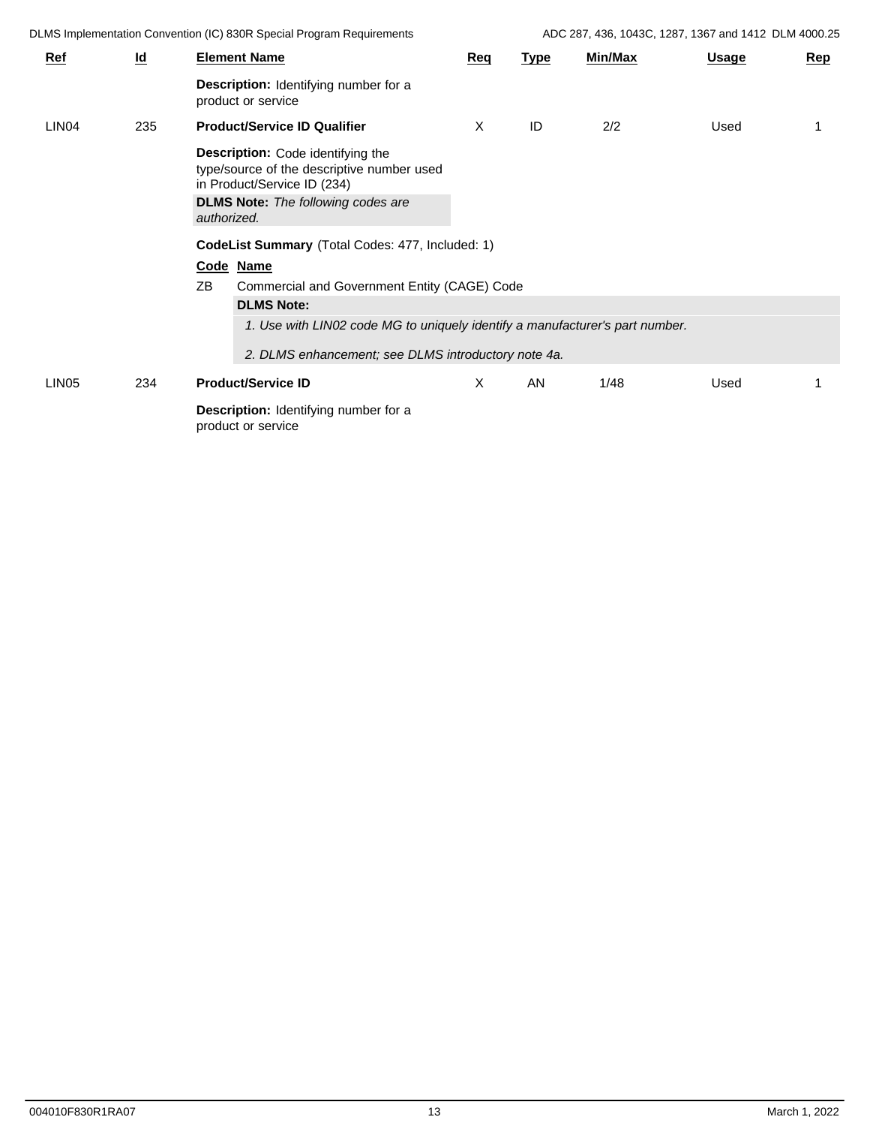DLMS Implementation Convention (IC) 830R Special Program Requirements ADC 287, 436, 1043C, 1287, 1367 and 1412 DLM 4000.25

| <b>Ref</b>        | $\underline{\mathsf{Id}}$ |                   | <b>Element Name</b>                                                                                                                                                                                                                                                          | Req | <b>Type</b> | <b>Min/Max</b> | <u>Usage</u> | Rep |
|-------------------|---------------------------|-------------------|------------------------------------------------------------------------------------------------------------------------------------------------------------------------------------------------------------------------------------------------------------------------------|-----|-------------|----------------|--------------|-----|
|                   |                           |                   | <b>Description:</b> Identifying number for a<br>product or service                                                                                                                                                                                                           |     |             |                |              |     |
| LIN <sub>04</sub> | 235                       |                   | <b>Product/Service ID Qualifier</b>                                                                                                                                                                                                                                          | X   | ID          | 2/2            | Used         |     |
|                   |                           | authorized.<br>ZB | Description: Code identifying the<br>type/source of the descriptive number used<br>in Product/Service ID (234)<br><b>DLMS Note:</b> The following codes are<br>CodeList Summary (Total Codes: 477, Included: 1)<br>Code Name<br>Commercial and Government Entity (CAGE) Code |     |             |                |              |     |
|                   |                           |                   | <b>DLMS Note:</b>                                                                                                                                                                                                                                                            |     |             |                |              |     |
|                   |                           |                   | 1. Use with LIN02 code MG to uniquely identify a manufacturer's part number.                                                                                                                                                                                                 |     |             |                |              |     |
|                   |                           |                   | 2. DLMS enhancement; see DLMS introductory note 4a.                                                                                                                                                                                                                          |     |             |                |              |     |
| LIN <sub>05</sub> | 234                       |                   | <b>Product/Service ID</b>                                                                                                                                                                                                                                                    | X   | AN          | 1/48           | Used         |     |
|                   |                           |                   | <b>Description:</b> Identifying number for a<br>product or service                                                                                                                                                                                                           |     |             |                |              |     |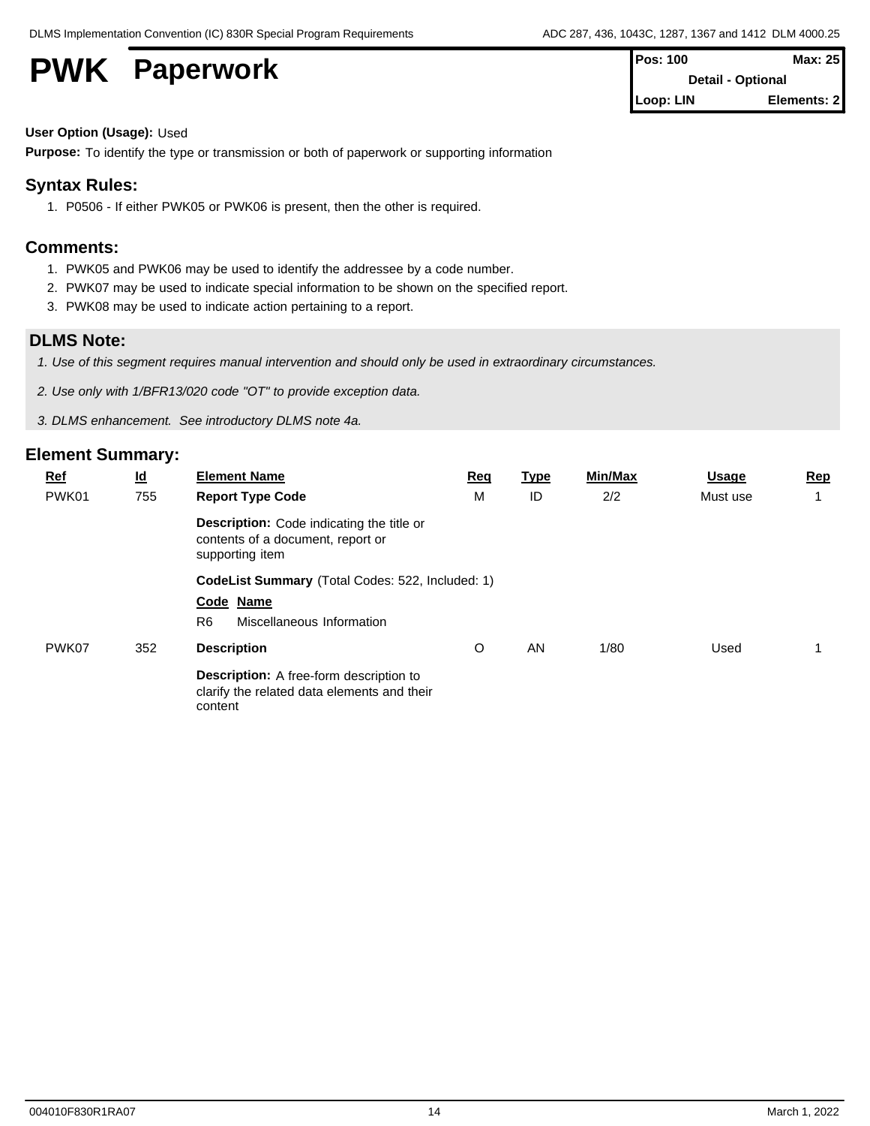**PWK** Paperwork

| <b>IPos: 100</b>         | Max: 251    |  |
|--------------------------|-------------|--|
| <b>Detail - Optional</b> |             |  |
| Loop: LIN                | Elements: 2 |  |

### **User Option (Usage):** Used

**Purpose:** To identify the type or transmission or both of paperwork or supporting information

## **Syntax Rules:**

1. P0506 - If either PWK05 or PWK06 is present, then the other is required.

## **Comments:**

- 1. PWK05 and PWK06 may be used to identify the addressee by a code number.
- 2. PWK07 may be used to indicate special information to be shown on the specified report.
- 3. PWK08 may be used to indicate action pertaining to a report.

## **DLMS Note:**

- *1. Use of this segment requires manual intervention and should only be used in extraordinary circumstances.*
- *2. Use only with 1/BFR13/020 code "OT" to provide exception data.*
- *3. DLMS enhancement. See introductory DLMS note 4a.*

| <b>Ref</b> | $\underline{\mathsf{Id}}$ | <b>Element Name</b>                                                                                      | <b>Req</b> | <u>Type</u> | <b>Min/Max</b> | <b>Usage</b> | Rep |
|------------|---------------------------|----------------------------------------------------------------------------------------------------------|------------|-------------|----------------|--------------|-----|
| PWK01      | 755                       | <b>Report Type Code</b>                                                                                  | м          | ID          | 2/2            | Must use     |     |
|            |                           | <b>Description:</b> Code indicating the title or<br>contents of a document, report or<br>supporting item |            |             |                |              |     |
|            |                           | CodeList Summary (Total Codes: 522, Included: 1)                                                         |            |             |                |              |     |
|            |                           | Code Name                                                                                                |            |             |                |              |     |
|            |                           | R <sub>6</sub><br>Miscellaneous Information                                                              |            |             |                |              |     |
| PWK07      | 352                       | <b>Description</b>                                                                                       | O          | AN          | 1/80           | Used         |     |
|            |                           | <b>Description:</b> A free-form description to<br>clarify the related data elements and their<br>content |            |             |                |              |     |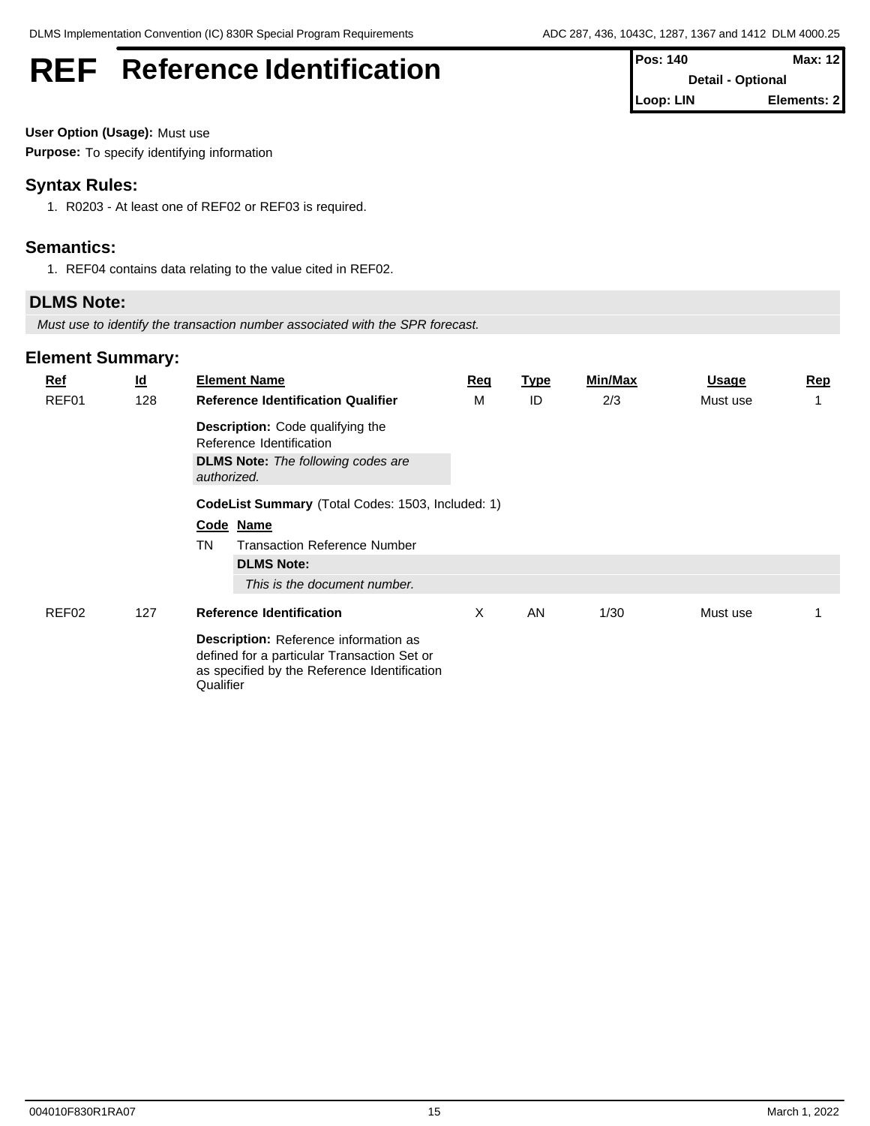## **REF** Reference Identification **Pos: 140** Max: 12

| User Option (Usage): Must use |  |
|-------------------------------|--|
|-------------------------------|--|

**Purpose:** To specify identifying information

## **Syntax Rules:**

1. R0203 - At least one of REF02 or REF03 is required.

## **Semantics:**

1. REF04 contains data relating to the value cited in REF02.

## **DLMS Note:**

*Must use to identify the transaction number associated with the SPR forecast.*

## **Element Summary:**

| $Ref$<br>REF01 | $\underline{\mathsf{Id}}$<br>128 | <b>Element Name</b><br><b>Reference Identification Qualifier</b>                                                                                  | Req<br>м | <u>Type</u><br>ID | Min/Max<br>2/3 | <b>Usage</b><br>Must use | <b>Rep</b> |
|----------------|----------------------------------|---------------------------------------------------------------------------------------------------------------------------------------------------|----------|-------------------|----------------|--------------------------|------------|
|                |                                  | <b>Description:</b> Code qualifying the<br>Reference Identification                                                                               |          |                   |                |                          |            |
|                |                                  | <b>DLMS Note:</b> The following codes are<br>authorized.                                                                                          |          |                   |                |                          |            |
|                |                                  | CodeList Summary (Total Codes: 1503, Included: 1)                                                                                                 |          |                   |                |                          |            |
|                |                                  | Code Name                                                                                                                                         |          |                   |                |                          |            |
|                |                                  | TN<br><b>Transaction Reference Number</b>                                                                                                         |          |                   |                |                          |            |
|                |                                  | <b>DLMS Note:</b>                                                                                                                                 |          |                   |                |                          |            |
|                |                                  | This is the document number.                                                                                                                      |          |                   |                |                          |            |
| REF02          | 127                              | <b>Reference Identification</b>                                                                                                                   | X        | AN                | 1/30           | Must use                 |            |
|                |                                  | Description: Reference information as<br>defined for a particular Transaction Set or<br>as specified by the Reference Identification<br>Qualifier |          |                   |                |                          |            |

004010F830R1RA07 15 March 1, 2022

**Detail - Optional Loop: LIN Elements: 2**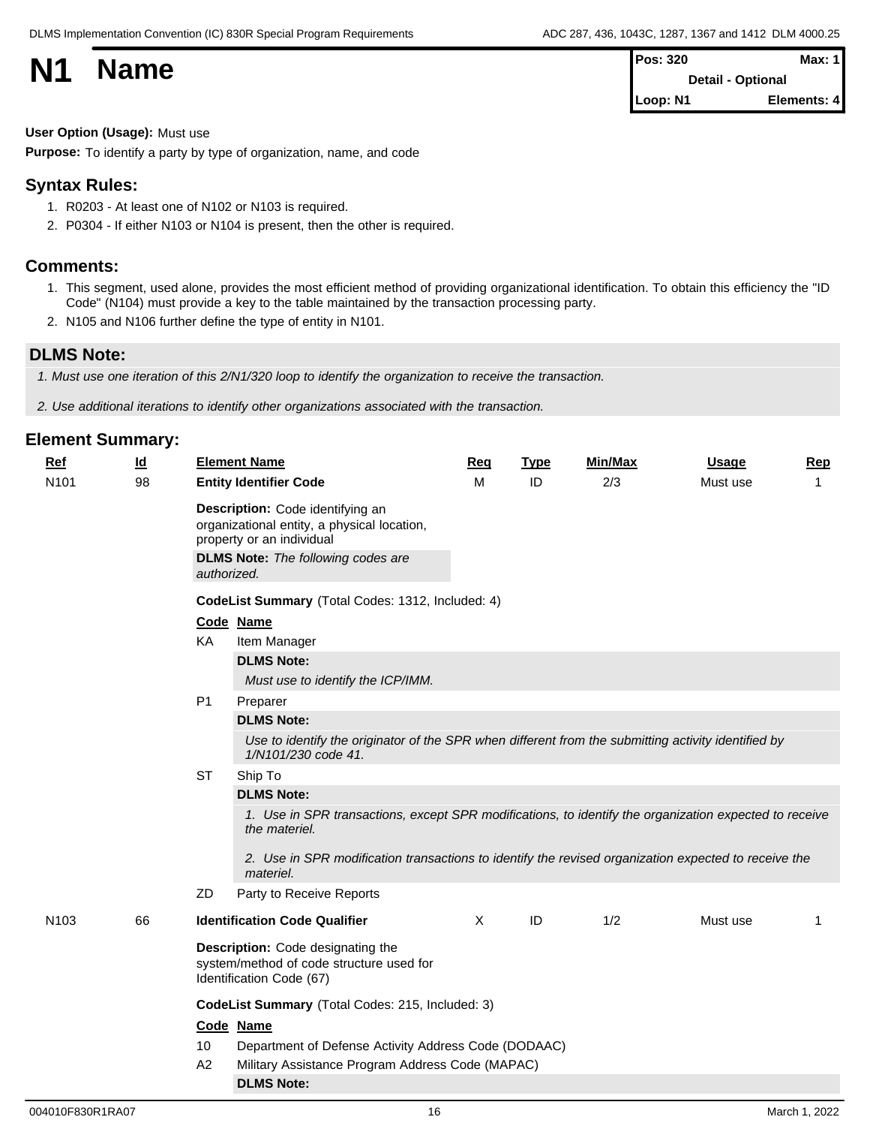| <b>N1</b> | <b>Name</b> | <b>Pos: 320</b>   | Max: $1$    |  |
|-----------|-------------|-------------------|-------------|--|
|           |             | Detail - Optional |             |  |
|           |             | Loop: N1          | Elements: 4 |  |

### **User Option (Usage):** Must use

**Purpose:** To identify a party by type of organization, name, and code

## **Syntax Rules:**

- 1. R0203 At least one of N102 or N103 is required.
- 2. P0304 If either N103 or N104 is present, then the other is required.

## **Comments:**

- 1. This segment, used alone, provides the most efficient method of providing organizational identification. To obtain this efficiency the "ID Code" (N104) must provide a key to the table maintained by the transaction processing party.
- 2. N105 and N106 further define the type of entity in N101.

## **DLMS Note:**

*1. Must use one iteration of this 2/N1/320 loop to identify the organization to receive the transaction.*

*2. Use additional iterations to identify other organizations associated with the transaction.*

| <u>Ref</u>       | $\underline{\mathsf{Id}}$ |                | <b>Element Name</b>                                                                                                                                       | Req      | <b>Type</b> | Min/Max | <b>Usage</b> | <b>Rep</b> |
|------------------|---------------------------|----------------|-----------------------------------------------------------------------------------------------------------------------------------------------------------|----------|-------------|---------|--------------|------------|
| N <sub>101</sub> | 98                        |                | <b>Entity Identifier Code</b>                                                                                                                             | M        | ID          | 2/3     | Must use     | 1          |
|                  |                           | authorized.    | Description: Code identifying an<br>organizational entity, a physical location,<br>property or an individual<br><b>DLMS Note:</b> The following codes are |          |             |         |              |            |
|                  |                           |                | CodeList Summary (Total Codes: 1312, Included: 4)                                                                                                         |          |             |         |              |            |
|                  |                           |                | Code Name                                                                                                                                                 |          |             |         |              |            |
|                  |                           | KA             | Item Manager                                                                                                                                              |          |             |         |              |            |
|                  |                           |                | <b>DLMS Note:</b>                                                                                                                                         |          |             |         |              |            |
|                  |                           |                | Must use to identify the ICP/IMM.                                                                                                                         |          |             |         |              |            |
|                  |                           | P <sub>1</sub> | Preparer                                                                                                                                                  |          |             |         |              |            |
|                  |                           |                | <b>DLMS Note:</b>                                                                                                                                         |          |             |         |              |            |
|                  |                           |                | Use to identify the originator of the SPR when different from the submitting activity identified by<br>1/N101/230 code 41.                                |          |             |         |              |            |
|                  |                           | <b>ST</b>      | Ship To                                                                                                                                                   |          |             |         |              |            |
|                  |                           |                | <b>DLMS Note:</b>                                                                                                                                         |          |             |         |              |            |
|                  |                           |                | 1. Use in SPR transactions, except SPR modifications, to identify the organization expected to receive<br>the materiel.                                   |          |             |         |              |            |
|                  |                           |                | 2. Use in SPR modification transactions to identify the revised organization expected to receive the<br>materiel.                                         |          |             |         |              |            |
|                  |                           | ZD             | Party to Receive Reports                                                                                                                                  |          |             |         |              |            |
| N <sub>103</sub> | 66                        |                | <b>Identification Code Qualifier</b>                                                                                                                      | $\times$ | ID          | 1/2     | Must use     | 1          |
|                  |                           |                | Description: Code designating the<br>system/method of code structure used for<br>Identification Code (67)                                                 |          |             |         |              |            |
|                  |                           |                | CodeList Summary (Total Codes: 215, Included: 3)                                                                                                          |          |             |         |              |            |
|                  |                           |                | Code Name                                                                                                                                                 |          |             |         |              |            |
|                  |                           | 10             | Department of Defense Activity Address Code (DODAAC)                                                                                                      |          |             |         |              |            |
|                  |                           | A2             | Military Assistance Program Address Code (MAPAC)                                                                                                          |          |             |         |              |            |
|                  |                           |                | <b>DLMS Note:</b>                                                                                                                                         |          |             |         |              |            |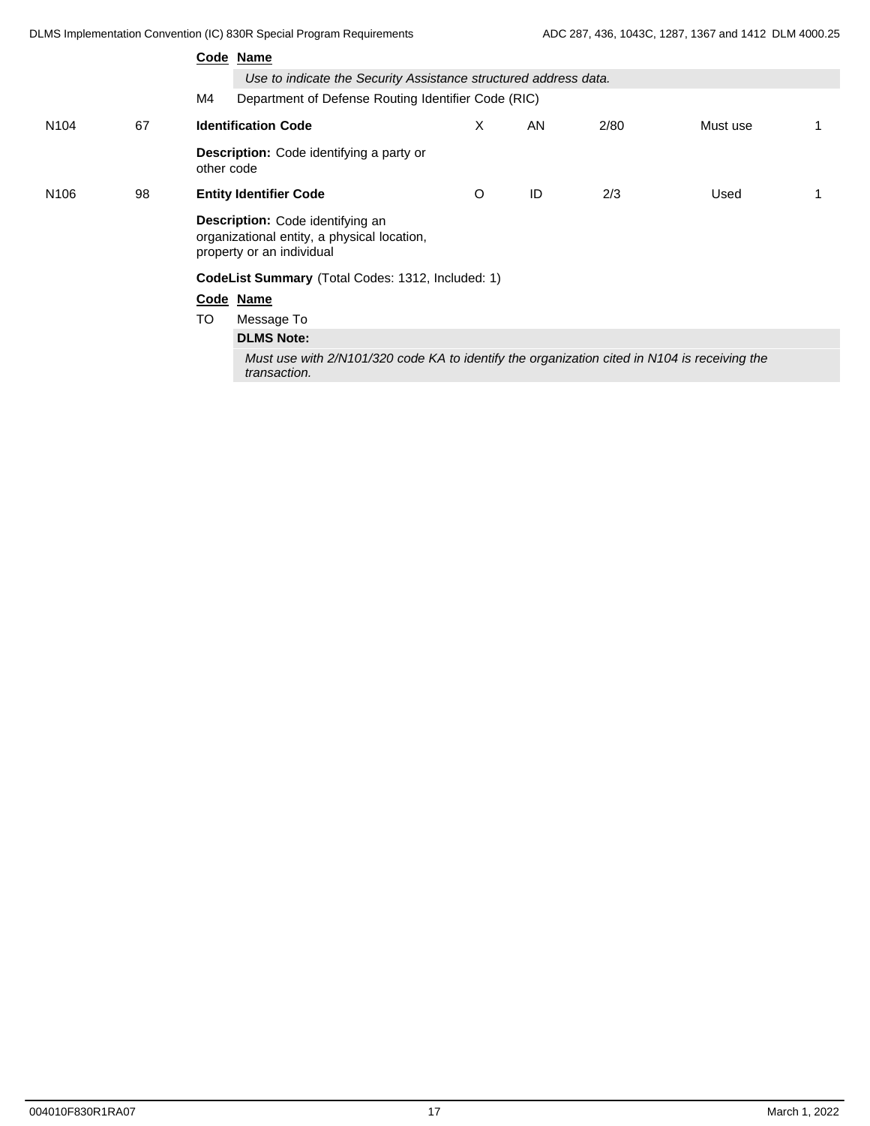|                  |    | Code Name                                                                                                    |   |    |      |          |  |  |  |  |
|------------------|----|--------------------------------------------------------------------------------------------------------------|---|----|------|----------|--|--|--|--|
|                  |    | Use to indicate the Security Assistance structured address data.                                             |   |    |      |          |  |  |  |  |
|                  |    | M4<br>Department of Defense Routing Identifier Code (RIC)                                                    |   |    |      |          |  |  |  |  |
| N <sub>104</sub> | 67 | <b>Identification Code</b>                                                                                   | X | AN | 2/80 | Must use |  |  |  |  |
|                  |    | Description: Code identifying a party or<br>other code                                                       |   |    |      |          |  |  |  |  |
| N <sub>106</sub> | 98 | <b>Entity Identifier Code</b>                                                                                | O | ID | 2/3  | Used     |  |  |  |  |
|                  |    | Description: Code identifying an<br>organizational entity, a physical location,<br>property or an individual |   |    |      |          |  |  |  |  |
|                  |    | CodeList Summary (Total Codes: 1312, Included: 1)                                                            |   |    |      |          |  |  |  |  |
|                  |    | Code Name                                                                                                    |   |    |      |          |  |  |  |  |
|                  |    | <b>TO</b><br>Message To                                                                                      |   |    |      |          |  |  |  |  |
|                  |    | <b>DLMS Note:</b>                                                                                            |   |    |      |          |  |  |  |  |
|                  |    | Must use with 2/N101/320 code KA to identify the organization cited in N104 is receiving the<br>transaction. |   |    |      |          |  |  |  |  |
|                  |    |                                                                                                              |   |    |      |          |  |  |  |  |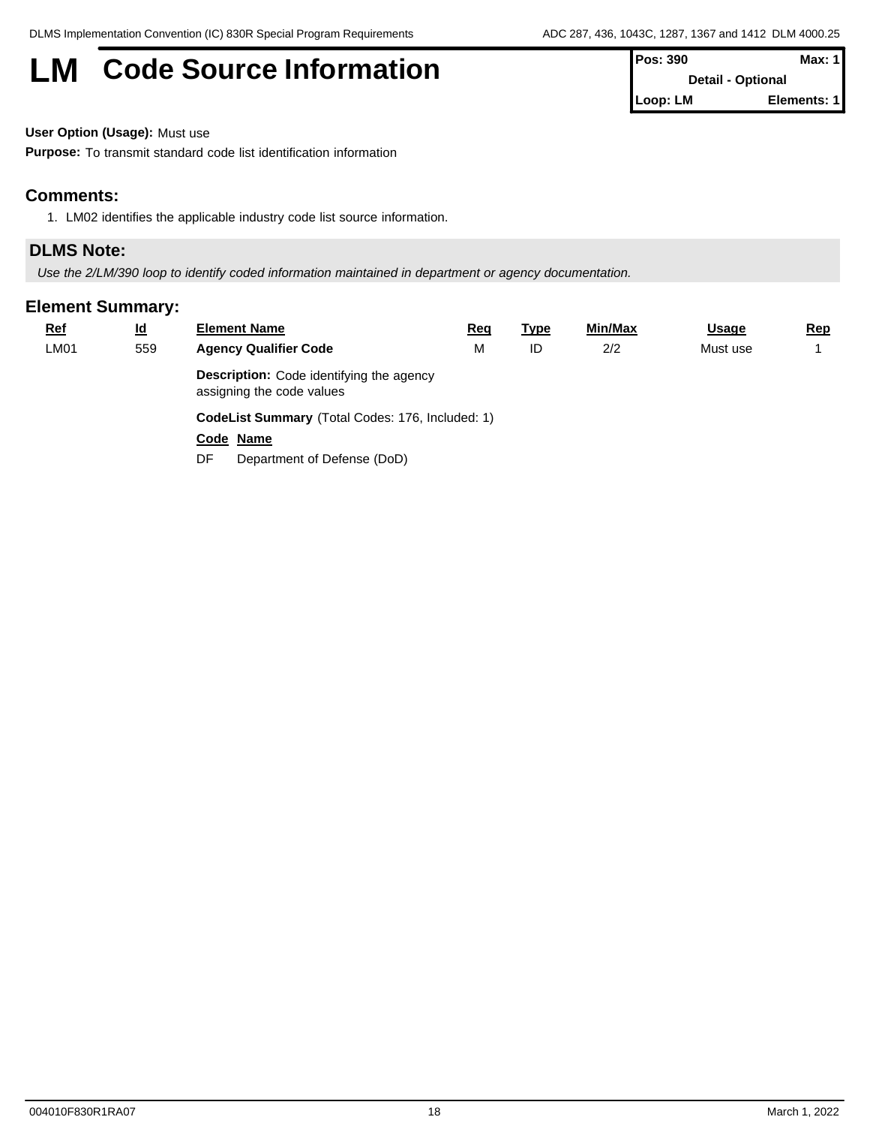# **LM** Code Source Information **Pos:** 390 **Max: 1**

| $\blacksquare$ rus. JJV  | IVIGA. I    |
|--------------------------|-------------|
| <b>Detail - Optional</b> |             |
| Loop: LM                 | Elements: 1 |

**User Option (Usage):** Must use

**Purpose:** To transmit standard code list identification information

## **Comments:**

1. LM02 identifies the applicable industry code list source information.

## **DLMS Note:**

*Use the 2/LM/390 loop to identify coded information maintained in department or agency documentation.*

| $Ref$ | $\underline{\mathsf{Id}}$ | <b>Element Name</b>                                                          | Req | <u>Type</u> | Min/Max | <b>Usage</b> | <u>Rep</u> |
|-------|---------------------------|------------------------------------------------------------------------------|-----|-------------|---------|--------------|------------|
| LM01  | 559                       | <b>Agency Qualifier Code</b>                                                 | M   | ID          | 2/2     | Must use     |            |
|       |                           | <b>Description:</b> Code identifying the agency<br>assigning the code values |     |             |         |              |            |
|       |                           | CodeList Summary (Total Codes: 176, Included: 1)                             |     |             |         |              |            |
|       |                           | Code Name                                                                    |     |             |         |              |            |
|       |                           | DF.<br>Department of Defense (DoD)                                           |     |             |         |              |            |
|       |                           |                                                                              |     |             |         |              |            |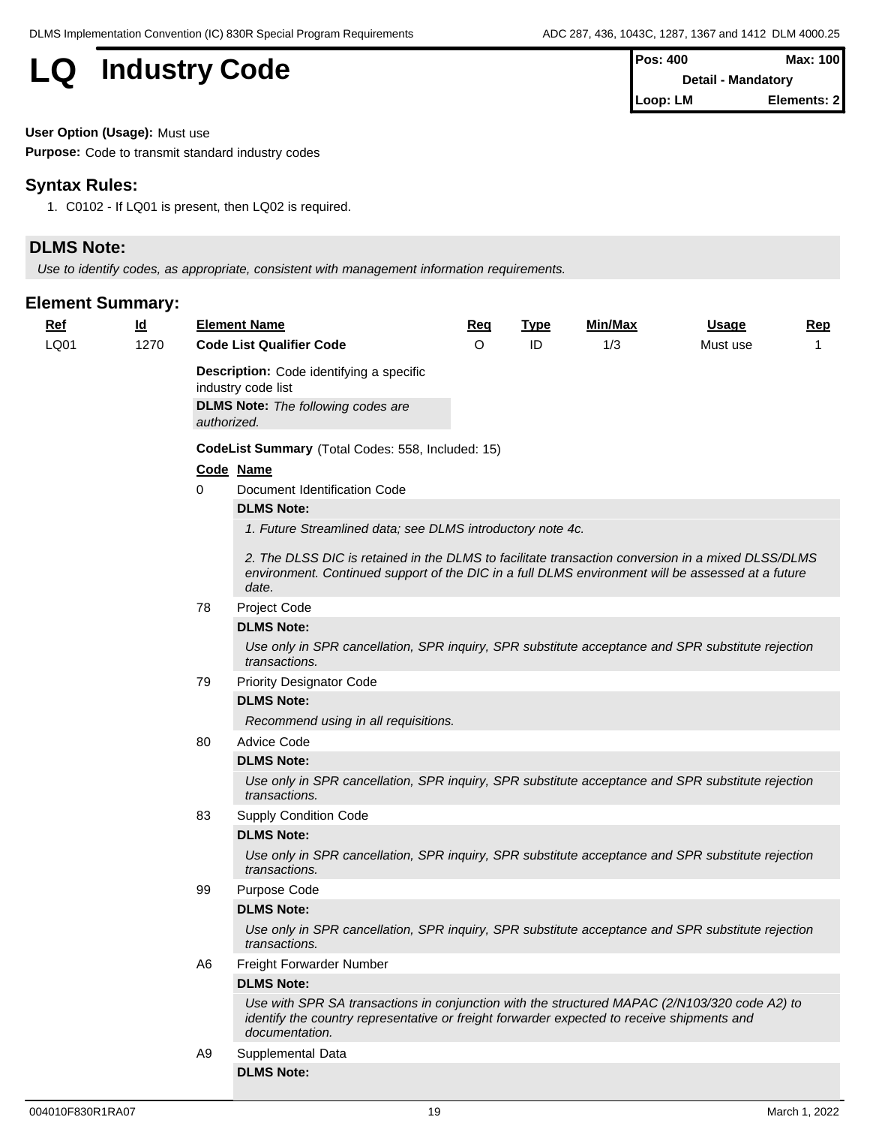## **LQ** Industry Code

| $Pos: 400$                | Max: 100    |  |
|---------------------------|-------------|--|
| <b>Detail - Mandatory</b> |             |  |
| Loop: LM                  | Elements: 2 |  |

**User Option (Usage):** Must use

**Purpose:** Code to transmit standard industry codes

## **Syntax Rules:**

1. C0102 - If LQ01 is present, then LQ02 is required.

## **DLMS Note:**

*Use to identify codes, as appropriate, consistent with management information requirements.*

| <b>Ref</b> | $\underline{\mathsf{Id}}$ |             | <b>Element Name</b>                                                                                                                                                                                             | Req     | <b>Type</b> | Min/Max | <u>Usage</u> | <b>Rep</b> |  |  |  |
|------------|---------------------------|-------------|-----------------------------------------------------------------------------------------------------------------------------------------------------------------------------------------------------------------|---------|-------------|---------|--------------|------------|--|--|--|
| LQ01       | 1270                      |             | <b>Code List Qualifier Code</b>                                                                                                                                                                                 | $\circ$ | ID          | 1/3     | Must use     | 1          |  |  |  |
|            |                           |             | <b>Description:</b> Code identifying a specific<br>industry code list                                                                                                                                           |         |             |         |              |            |  |  |  |
|            |                           | authorized. | <b>DLMS Note:</b> The following codes are                                                                                                                                                                       |         |             |         |              |            |  |  |  |
|            |                           |             | CodeList Summary (Total Codes: 558, Included: 15)                                                                                                                                                               |         |             |         |              |            |  |  |  |
|            |                           | Code Name   |                                                                                                                                                                                                                 |         |             |         |              |            |  |  |  |
|            |                           | 0           | Document Identification Code                                                                                                                                                                                    |         |             |         |              |            |  |  |  |
|            |                           |             | <b>DLMS Note:</b>                                                                                                                                                                                               |         |             |         |              |            |  |  |  |
|            |                           |             | 1. Future Streamlined data; see DLMS introductory note 4c.                                                                                                                                                      |         |             |         |              |            |  |  |  |
|            |                           |             | 2. The DLSS DIC is retained in the DLMS to facilitate transaction conversion in a mixed DLSS/DLMS<br>environment. Continued support of the DIC in a full DLMS environment will be assessed at a future<br>date. |         |             |         |              |            |  |  |  |
|            |                           | 78          | Project Code                                                                                                                                                                                                    |         |             |         |              |            |  |  |  |
|            |                           |             | <b>DLMS Note:</b>                                                                                                                                                                                               |         |             |         |              |            |  |  |  |
|            |                           |             | Use only in SPR cancellation, SPR inquiry, SPR substitute acceptance and SPR substitute rejection<br>transactions.                                                                                              |         |             |         |              |            |  |  |  |
|            |                           | 79          | <b>Priority Designator Code</b>                                                                                                                                                                                 |         |             |         |              |            |  |  |  |
|            |                           |             | <b>DLMS Note:</b>                                                                                                                                                                                               |         |             |         |              |            |  |  |  |
|            |                           |             | Recommend using in all requisitions.                                                                                                                                                                            |         |             |         |              |            |  |  |  |
|            |                           | 80          | <b>Advice Code</b>                                                                                                                                                                                              |         |             |         |              |            |  |  |  |
|            |                           |             | <b>DLMS Note:</b>                                                                                                                                                                                               |         |             |         |              |            |  |  |  |
|            |                           |             | Use only in SPR cancellation, SPR inquiry, SPR substitute acceptance and SPR substitute rejection<br>transactions.                                                                                              |         |             |         |              |            |  |  |  |
|            |                           | 83          | <b>Supply Condition Code</b>                                                                                                                                                                                    |         |             |         |              |            |  |  |  |
|            |                           |             | <b>DLMS Note:</b>                                                                                                                                                                                               |         |             |         |              |            |  |  |  |
|            |                           |             | Use only in SPR cancellation, SPR inquiry, SPR substitute acceptance and SPR substitute rejection<br>transactions.                                                                                              |         |             |         |              |            |  |  |  |
|            |                           | 99          | Purpose Code                                                                                                                                                                                                    |         |             |         |              |            |  |  |  |
|            |                           |             | <b>DLMS Note:</b>                                                                                                                                                                                               |         |             |         |              |            |  |  |  |
|            |                           |             | Use only in SPR cancellation, SPR inquiry, SPR substitute acceptance and SPR substitute rejection<br><i>transactions.</i>                                                                                       |         |             |         |              |            |  |  |  |
|            |                           | A6          | Freight Forwarder Number                                                                                                                                                                                        |         |             |         |              |            |  |  |  |
|            |                           |             | <b>DLMS Note:</b>                                                                                                                                                                                               |         |             |         |              |            |  |  |  |
|            |                           |             | Use with SPR SA transactions in conjunction with the structured MAPAC (2/N103/320 code A2) to<br>identify the country representative or freight forwarder expected to receive shipments and<br>documentation.   |         |             |         |              |            |  |  |  |
|            |                           | A9          | Supplemental Data                                                                                                                                                                                               |         |             |         |              |            |  |  |  |
|            |                           |             | <b>DLMS Note:</b>                                                                                                                                                                                               |         |             |         |              |            |  |  |  |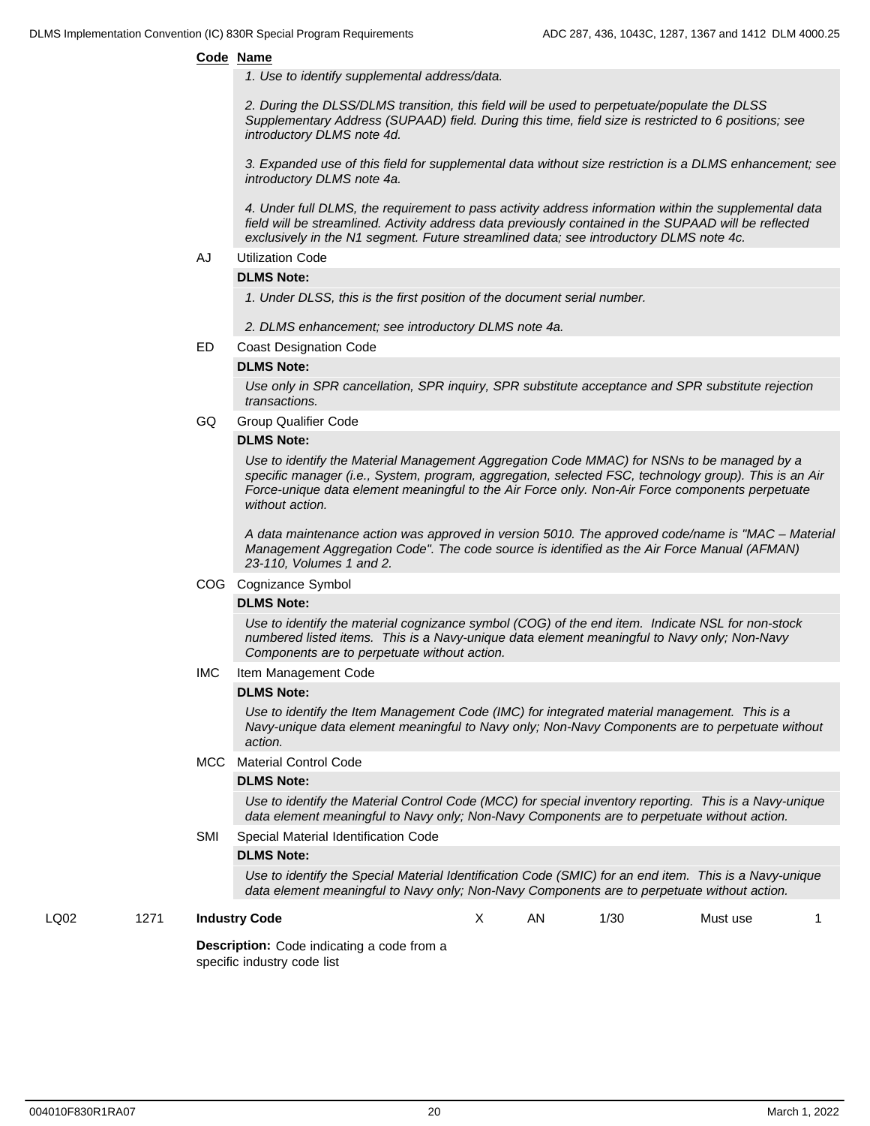#### **Code Name**

*1. Use to identify supplemental address/data.*

*2. During the DLSS/DLMS transition, this field will be used to perpetuate/populate the DLSS Supplementary Address (SUPAAD) field. During this time, field size is restricted to 6 positions; see introductory DLMS note 4d.*

*3. Expanded use of this field for supplemental data without size restriction is a DLMS enhancement; see introductory DLMS note 4a.*

*4. Under full DLMS, the requirement to pass activity address information within the supplemental data field will be streamlined. Activity address data previously contained in the SUPAAD will be reflected exclusively in the N1 segment. Future streamlined data; see introductory DLMS note 4c.*

AJ Utilization Code

#### **DLMS Note:**

*1. Under DLSS, this is the first position of the document serial number.*

*2. DLMS enhancement; see introductory DLMS note 4a.*

ED Coast Designation Code

#### **DLMS Note:**

*Use only in SPR cancellation, SPR inquiry, SPR substitute acceptance and SPR substitute rejection transactions.*

GQ Group Qualifier Code

#### **DLMS Note:**

*Use to identify the Material Management Aggregation Code MMAC) for NSNs to be managed by a specific manager (i.e., System, program, aggregation, selected FSC, technology group). This is an Air Force-unique data element meaningful to the Air Force only. Non-Air Force components perpetuate without action.*

*A data maintenance action was approved in version 5010. The approved code/name is "MAC – Material Management Aggregation Code". The code source is identified as the Air Force Manual (AFMAN) 23-110, Volumes 1 and 2.*

#### COG Cognizance Symbol

#### **DLMS Note:**

*Use to identify the material cognizance symbol (COG) of the end item. Indicate NSL for non-stock numbered listed items. This is a Navy-unique data element meaningful to Navy only; Non-Navy Components are to perpetuate without action.*

IMC Item Management Code

#### **DLMS Note:**

*Use to identify the Item Management Code (IMC) for integrated material management. This is a Navy-unique data element meaningful to Navy only; Non-Navy Components are to perpetuate without action.*

#### MCC Material Control Code

#### **DLMS Note:**

*Use to identify the Material Control Code (MCC) for special inventory reporting. This is a Navy-unique data element meaningful to Navy only; Non-Navy Components are to perpetuate without action.*

#### SMI Special Material Identification Code

#### **DLMS Note:**

*Use to identify the Special Material Identification Code (SMIC) for an end item. This is a Navy-unique data element meaningful to Navy only; Non-Navy Components are to perpetuate without action.*

#### LQ02 1271 **Industry Code**

**Description:** Code indicating a code from a specific industry code list

X AN 1/30 Must use 1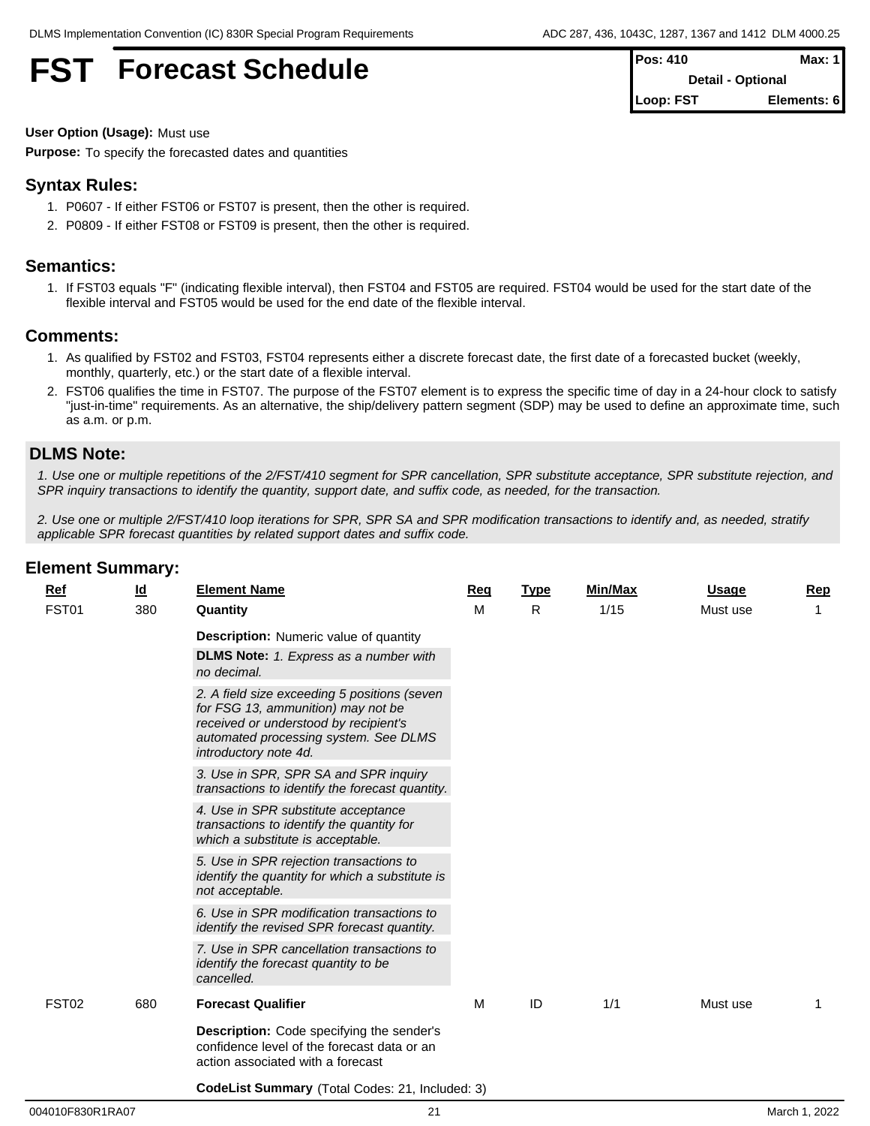## **FST Forecast Schedule**

| $Pos: 410$               | Max: 1      |
|--------------------------|-------------|
| <b>Detail - Optional</b> |             |
| Loop: FST                | Elements: 6 |

**User Option (Usage):** Must use

**Purpose:** To specify the forecasted dates and quantities

## **Syntax Rules:**

- 1. P0607 If either FST06 or FST07 is present, then the other is required.
- 2. P0809 If either FST08 or FST09 is present, then the other is required.

## **Semantics:**

1. If FST03 equals "F" (indicating flexible interval), then FST04 and FST05 are required. FST04 would be used for the start date of the flexible interval and FST05 would be used for the end date of the flexible interval.

### **Comments:**

- 1. As qualified by FST02 and FST03, FST04 represents either a discrete forecast date, the first date of a forecasted bucket (weekly, monthly, quarterly, etc.) or the start date of a flexible interval.
- 2. FST06 qualifies the time in FST07. The purpose of the FST07 element is to express the specific time of day in a 24-hour clock to satisfy "just-in-time" requirements. As an alternative, the ship/delivery pattern segment (SDP) may be used to define an approximate time, such as a.m. or p.m.

### **DLMS Note:**

*1. Use one or multiple repetitions of the 2/FST/410 segment for SPR cancellation, SPR substitute acceptance, SPR substitute rejection, and SPR inquiry transactions to identify the quantity, support date, and suffix code, as needed, for the transaction.*

*2. Use one or multiple 2/FST/410 loop iterations for SPR, SPR SA and SPR modification transactions to identify and, as needed, stratify applicable SPR forecast quantities by related support dates and suffix code.*

## **Ref Id Element Name Req Type Min/Max Usage Rep** FST01 380 **Quantity Description:** Numeric value of quantity **DLMS Note:** *1. Express as a number with no decimal. 2. A field size exceeding 5 positions (seven for FSG 13, ammunition) may not be received or understood by recipient's automated processing system. See DLMS introductory note 4d. 3. Use in SPR, SPR SA and SPR inquiry transactions to identify the forecast quantity. 4. Use in SPR substitute acceptance transactions to identify the quantity for which a substitute is acceptable. 5. Use in SPR rejection transactions to identify the quantity for which a substitute is not acceptable. 6. Use in SPR modification transactions to identify the revised SPR forecast quantity. 7. Use in SPR cancellation transactions to identify the forecast quantity to be cancelled.* M R 1/15 Mustuse 1 FST02 680 **Forecast Qualifier Description:** Code specifying the sender's confidence level of the forecast data or an action associated with a forecast M ID 1/1 Must use 1

## **Element Summary:**

**CodeList Summary** (Total Codes: 21, Included: 3)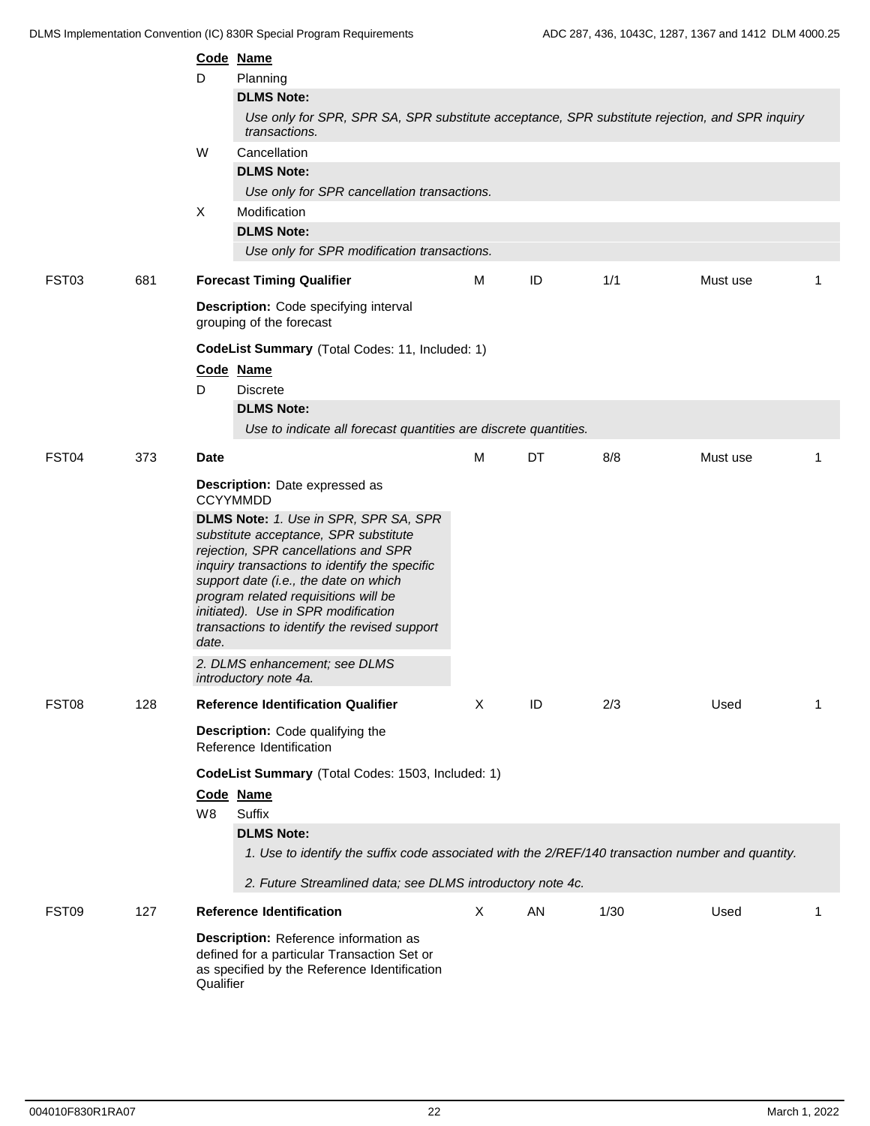|       |     |           | Code Name                                                                                                                                                                                                                                                                                                                                       |   |    |      |          |                |  |  |
|-------|-----|-----------|-------------------------------------------------------------------------------------------------------------------------------------------------------------------------------------------------------------------------------------------------------------------------------------------------------------------------------------------------|---|----|------|----------|----------------|--|--|
|       |     | D         | Planning                                                                                                                                                                                                                                                                                                                                        |   |    |      |          |                |  |  |
|       |     |           | <b>DLMS Note:</b>                                                                                                                                                                                                                                                                                                                               |   |    |      |          |                |  |  |
|       |     |           | Use only for SPR, SPR SA, SPR substitute acceptance, SPR substitute rejection, and SPR inquiry<br>transactions.                                                                                                                                                                                                                                 |   |    |      |          |                |  |  |
|       |     | W         | Cancellation                                                                                                                                                                                                                                                                                                                                    |   |    |      |          |                |  |  |
|       |     |           | <b>DLMS Note:</b>                                                                                                                                                                                                                                                                                                                               |   |    |      |          |                |  |  |
|       |     |           | Use only for SPR cancellation transactions.                                                                                                                                                                                                                                                                                                     |   |    |      |          |                |  |  |
|       |     | X         | Modification                                                                                                                                                                                                                                                                                                                                    |   |    |      |          |                |  |  |
|       |     |           | <b>DLMS Note:</b>                                                                                                                                                                                                                                                                                                                               |   |    |      |          |                |  |  |
|       |     |           | Use only for SPR modification transactions.                                                                                                                                                                                                                                                                                                     |   |    |      |          |                |  |  |
| FST03 | 681 |           | <b>Forecast Timing Qualifier</b>                                                                                                                                                                                                                                                                                                                | М | ID | 1/1  | Must use | 1              |  |  |
|       |     |           | Description: Code specifying interval<br>grouping of the forecast                                                                                                                                                                                                                                                                               |   |    |      |          |                |  |  |
|       |     |           | CodeList Summary (Total Codes: 11, Included: 1)                                                                                                                                                                                                                                                                                                 |   |    |      |          |                |  |  |
|       |     |           | Code Name                                                                                                                                                                                                                                                                                                                                       |   |    |      |          |                |  |  |
|       |     | D         | <b>Discrete</b>                                                                                                                                                                                                                                                                                                                                 |   |    |      |          |                |  |  |
|       |     |           | <b>DLMS Note:</b>                                                                                                                                                                                                                                                                                                                               |   |    |      |          |                |  |  |
|       |     |           | Use to indicate all forecast quantities are discrete quantities.                                                                                                                                                                                                                                                                                |   |    |      |          |                |  |  |
| FST04 | 373 | Date      |                                                                                                                                                                                                                                                                                                                                                 | M | DT | 8/8  | Must use | $\overline{1}$ |  |  |
|       |     |           | Description: Date expressed as<br><b>CCYYMMDD</b>                                                                                                                                                                                                                                                                                               |   |    |      |          |                |  |  |
|       |     | date.     | DLMS Note: 1. Use in SPR, SPR SA, SPR<br>substitute acceptance, SPR substitute<br>rejection, SPR cancellations and SPR<br>inquiry transactions to identify the specific<br>support date (i.e., the date on which<br>program related requisitions will be<br>initiated). Use in SPR modification<br>transactions to identify the revised support |   |    |      |          |                |  |  |
|       |     |           | 2. DLMS enhancement; see DLMS<br>introductory note 4a.                                                                                                                                                                                                                                                                                          |   |    |      |          |                |  |  |
| FST08 | 128 |           | <b>Reference Identification Qualifier</b>                                                                                                                                                                                                                                                                                                       | Χ | ID | 2/3  | Used     | -1             |  |  |
|       |     |           | Description: Code qualifying the<br>Reference Identification                                                                                                                                                                                                                                                                                    |   |    |      |          |                |  |  |
|       |     | W8        | CodeList Summary (Total Codes: 1503, Included: 1)<br>Code Name<br>Suffix<br><b>DLMS Note:</b><br>1. Use to identify the suffix code associated with the 2/REF/140 transaction number and quantity.<br>2. Future Streamlined data; see DLMS introductory note 4c.                                                                                |   |    |      |          |                |  |  |
| FST09 | 127 |           | <b>Reference Identification</b>                                                                                                                                                                                                                                                                                                                 | X | AN | 1/30 | Used     | 1              |  |  |
|       |     | Qualifier | Description: Reference information as<br>defined for a particular Transaction Set or<br>as specified by the Reference Identification                                                                                                                                                                                                            |   |    |      |          |                |  |  |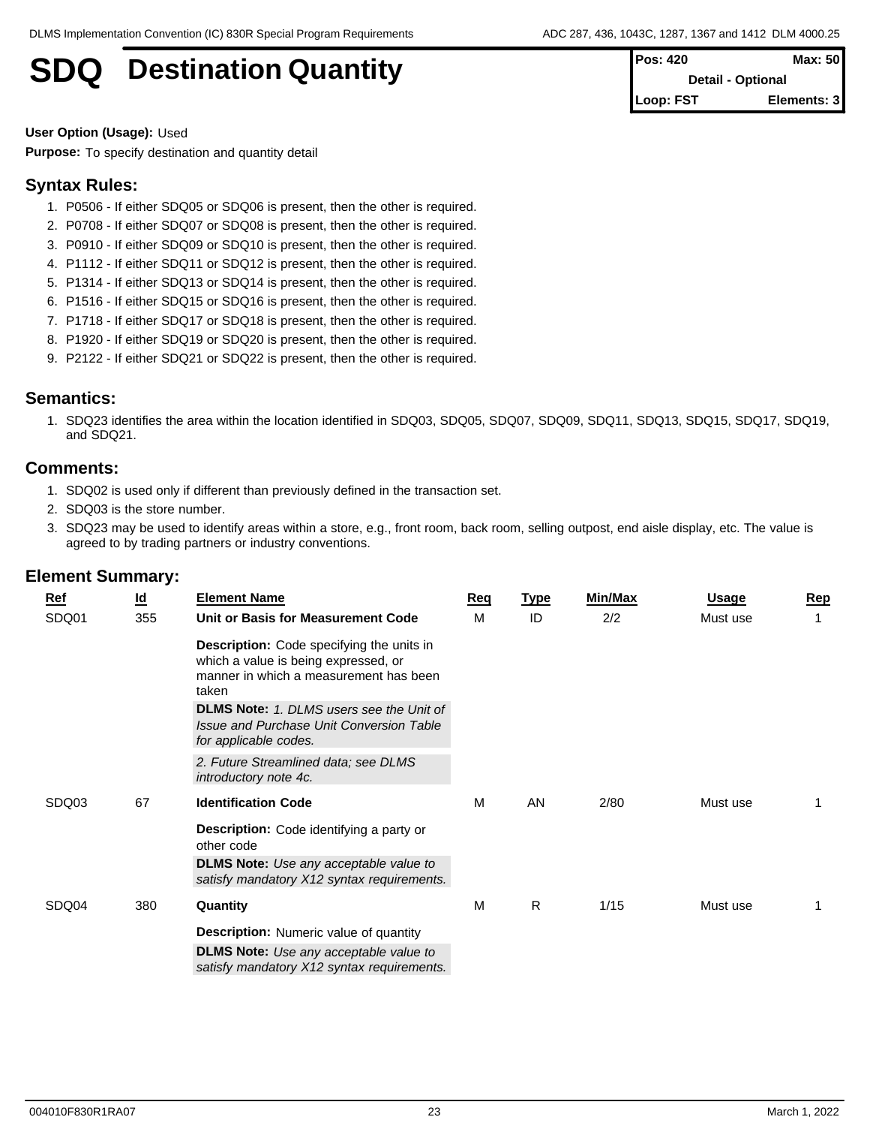## **SDQ** Destination Quantity

| <b>Pos: 420</b>          | Max: 50     |  |
|--------------------------|-------------|--|
| <b>Detail - Optional</b> |             |  |
| Loop: FST                | Elements: 3 |  |

**User Option (Usage):** Used

**Purpose:** To specify destination and quantity detail

## **Syntax Rules:**

- 1. P0506 If either SDQ05 or SDQ06 is present, then the other is required.
- 2. P0708 If either SDQ07 or SDQ08 is present, then the other is required.
- 3. P0910 If either SDQ09 or SDQ10 is present, then the other is required.
- 4. P1112 If either SDQ11 or SDQ12 is present, then the other is required.
- 5. P1314 If either SDQ13 or SDQ14 is present, then the other is required.
- 6. P1516 If either SDQ15 or SDQ16 is present, then the other is required.
- 7. P1718 If either SDQ17 or SDQ18 is present, then the other is required.
- 8. P1920 If either SDQ19 or SDQ20 is present, then the other is required.
- 9. P2122 If either SDQ21 or SDQ22 is present, then the other is required.

## **Semantics:**

1. SDQ23 identifies the area within the location identified in SDQ03, SDQ05, SDQ07, SDQ09, SDQ11, SDQ13, SDQ15, SDQ17, SDQ19, and SDQ21.

## **Comments:**

- 1. SDQ02 is used only if different than previously defined in the transaction set.
- 2. SDQ03 is the store number.
- 3. SDQ23 may be used to identify areas within a store, e.g., front room, back room, selling outpost, end aisle display, etc. The value is agreed to by trading partners or industry conventions.

| Ref<br>SDQ01 | <u>ld</u><br>355 | <b>Element Name</b><br>Unit or Basis for Measurement Code                                                                                                                                      | <b>Req</b><br>M | <u>Type</u><br>ID | Min/Max<br>2/2 | Usage<br>Must use | Rep |
|--------------|------------------|------------------------------------------------------------------------------------------------------------------------------------------------------------------------------------------------|-----------------|-------------------|----------------|-------------------|-----|
|              |                  | <b>Description:</b> Code specifying the units in<br>which a value is being expressed, or<br>manner in which a measurement has been<br>taken<br><b>DLMS Note:</b> 1. DLMS users see the Unit of |                 |                   |                |                   |     |
|              |                  | Issue and Purchase Unit Conversion Table<br>for applicable codes.                                                                                                                              |                 |                   |                |                   |     |
|              |                  | 2. Future Streamlined data; see DLMS<br>introductory note 4c.                                                                                                                                  |                 |                   |                |                   |     |
| SDQ03        | 67               | <b>Identification Code</b>                                                                                                                                                                     | M               | AN                | 2/80           | Must use          |     |
|              |                  | <b>Description:</b> Code identifying a party or<br>other code                                                                                                                                  |                 |                   |                |                   |     |
|              |                  | <b>DLMS Note:</b> Use any acceptable value to<br>satisfy mandatory X12 syntax requirements.                                                                                                    |                 |                   |                |                   |     |
| SDQ04        | 380              | Quantity                                                                                                                                                                                       | M               | R                 | 1/15           | Must use          |     |
|              |                  | <b>Description:</b> Numeric value of quantity                                                                                                                                                  |                 |                   |                |                   |     |
|              |                  | <b>DLMS Note:</b> Use any acceptable value to<br>satisfy mandatory X12 syntax requirements.                                                                                                    |                 |                   |                |                   |     |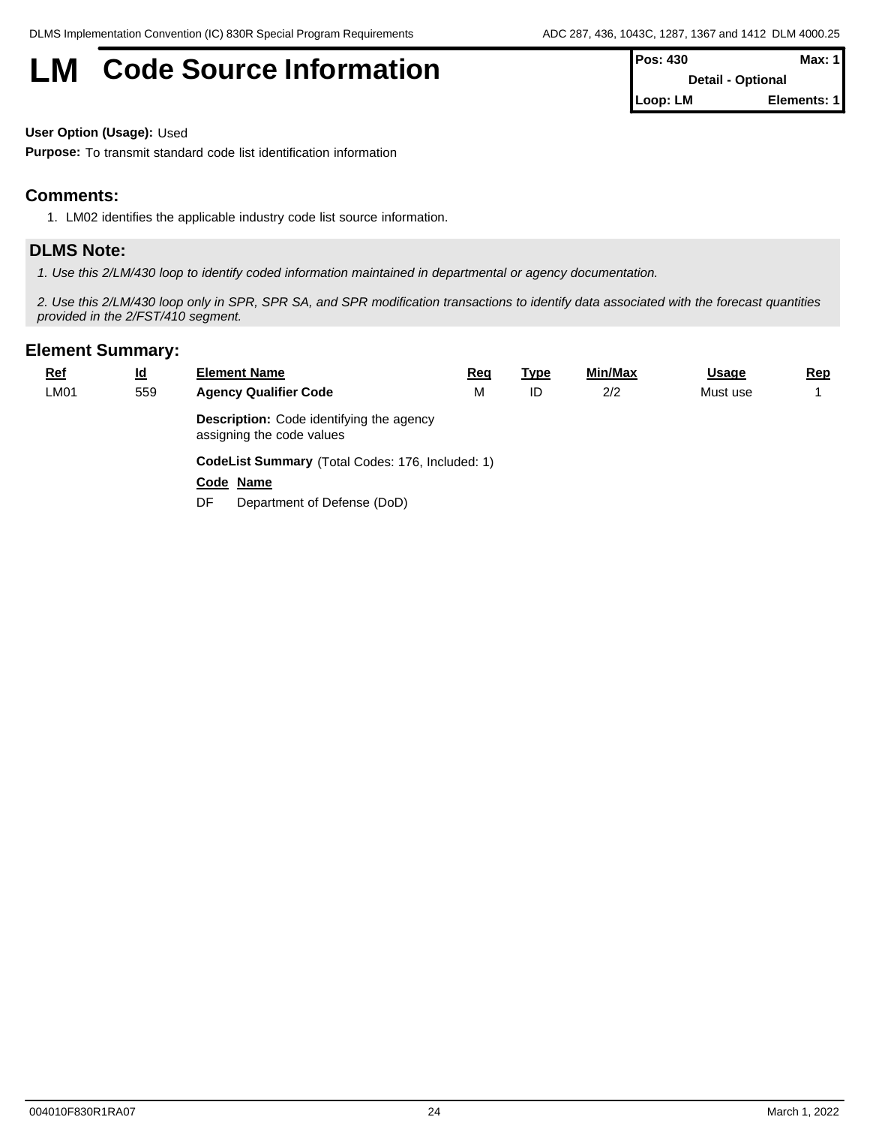# **LM** Code Source Information **Pos: 430 Max: 1 Max: 1**

| 11 VJ. TJV       | <b>IVIGA. I</b>          |
|------------------|--------------------------|
|                  | <b>Detail - Optional</b> |
| <b>ILoop: LM</b> | Elements: 11             |

**User Option (Usage):** Used

**Purpose:** To transmit standard code list identification information

## **Comments:**

1. LM02 identifies the applicable industry code list source information.

## **DLMS Note:**

*1. Use this 2/LM/430 loop to identify coded information maintained in departmental or agency documentation.*

*2. Use this 2/LM/430 loop only in SPR, SPR SA, and SPR modification transactions to identify data associated with the forecast quantities provided in the 2/FST/410 segment.*

| <b>Ref</b> | $\underline{\mathsf{Id}}$ | <b>Element Name</b>                                                          | <u>Req</u> | <u>Type</u> | Min/Max | <b>Usage</b> | <u>Rep</u> |  |  |  |
|------------|---------------------------|------------------------------------------------------------------------------|------------|-------------|---------|--------------|------------|--|--|--|
| LM01       | 559                       | <b>Agency Qualifier Code</b>                                                 | М          | ID          | 2/2     | Must use     |            |  |  |  |
|            |                           | <b>Description:</b> Code identifying the agency<br>assigning the code values |            |             |         |              |            |  |  |  |
|            |                           | CodeList Summary (Total Codes: 176, Included: 1)                             |            |             |         |              |            |  |  |  |
|            |                           | Code Name                                                                    |            |             |         |              |            |  |  |  |
|            |                           | Department of Defense (DoD)<br>DF.                                           |            |             |         |              |            |  |  |  |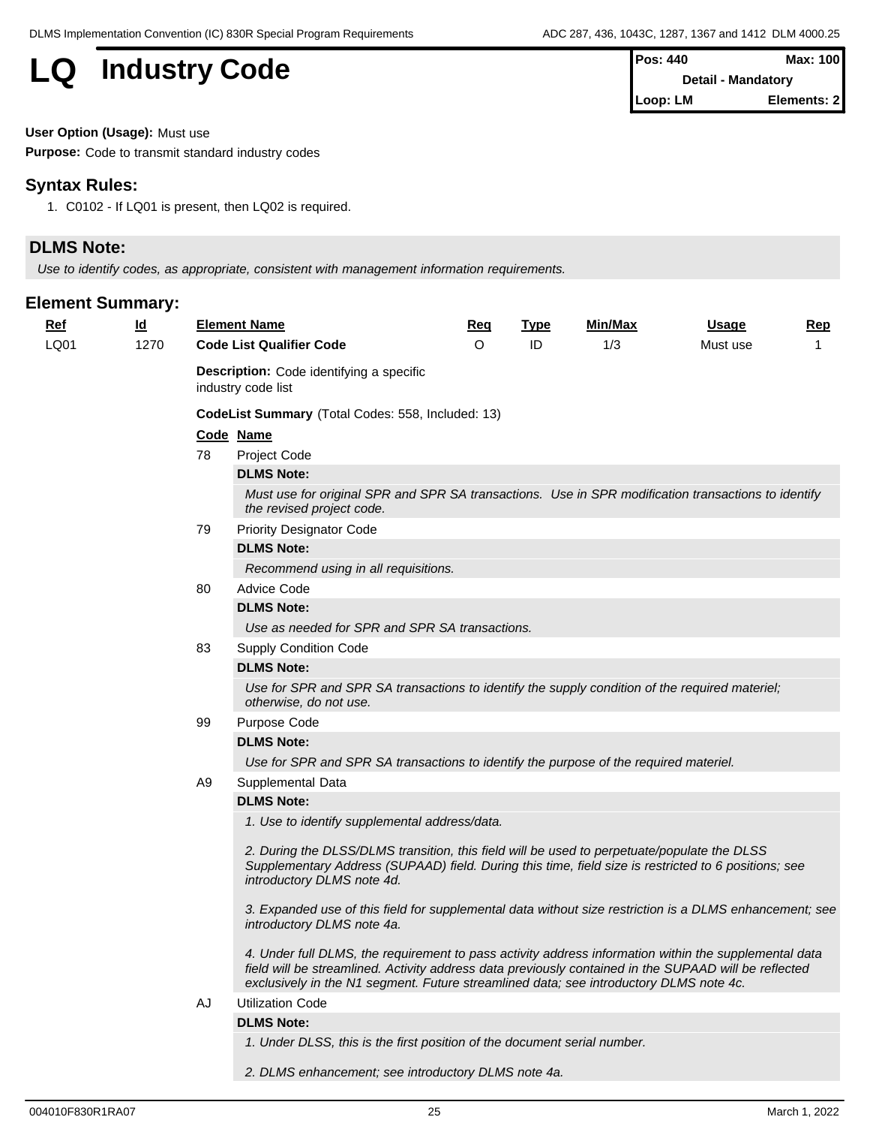## **LQ** Industry Code

| $Pos: 440$                | Max: 100    |  |
|---------------------------|-------------|--|
| <b>Detail - Mandatory</b> |             |  |
| Loop: LM                  | Elements: 2 |  |

**User Option (Usage):** Must use

**Purpose:** Code to transmit standard industry codes

## **Syntax Rules:**

1. C0102 - If LQ01 is present, then LQ02 is required.

## **DLMS Note:**

*Use to identify codes, as appropriate, consistent with management information requirements.*

| 1/3<br>1270<br><b>Code List Qualifier Code</b><br>$\Omega$<br>ID<br>LQ01<br>Must use<br><b>Description:</b> Code identifying a specific<br>industry code list<br>CodeList Summary (Total Codes: 558, Included: 13)<br>Code Name<br>78<br>Project Code<br><b>DLMS Note:</b><br>Must use for original SPR and SPR SA transactions. Use in SPR modification transactions to identify<br>the revised project code.<br><b>Priority Designator Code</b><br>79<br><b>DLMS Note:</b><br>Recommend using in all requisitions.<br><b>Advice Code</b><br>80<br><b>DLMS Note:</b><br>Use as needed for SPR and SPR SA transactions.<br>83<br><b>Supply Condition Code</b><br><b>DLMS Note:</b><br>Use for SPR and SPR SA transactions to identify the supply condition of the required materiel;<br>otherwise, do not use.<br>Purpose Code<br>99<br><b>DLMS Note:</b><br>Use for SPR and SPR SA transactions to identify the purpose of the required materiel.<br>Supplemental Data<br>A9<br><b>DLMS Note:</b><br>1. Use to identify supplemental address/data.<br>2. During the DLSS/DLMS transition, this field will be used to perpetuate/populate the DLSS<br>Supplementary Address (SUPAAD) field. During this time, field size is restricted to 6 positions; see<br>introductory DLMS note 4d. |
|------------------------------------------------------------------------------------------------------------------------------------------------------------------------------------------------------------------------------------------------------------------------------------------------------------------------------------------------------------------------------------------------------------------------------------------------------------------------------------------------------------------------------------------------------------------------------------------------------------------------------------------------------------------------------------------------------------------------------------------------------------------------------------------------------------------------------------------------------------------------------------------------------------------------------------------------------------------------------------------------------------------------------------------------------------------------------------------------------------------------------------------------------------------------------------------------------------------------------------------------------------------------------------------|
|                                                                                                                                                                                                                                                                                                                                                                                                                                                                                                                                                                                                                                                                                                                                                                                                                                                                                                                                                                                                                                                                                                                                                                                                                                                                                          |
|                                                                                                                                                                                                                                                                                                                                                                                                                                                                                                                                                                                                                                                                                                                                                                                                                                                                                                                                                                                                                                                                                                                                                                                                                                                                                          |
|                                                                                                                                                                                                                                                                                                                                                                                                                                                                                                                                                                                                                                                                                                                                                                                                                                                                                                                                                                                                                                                                                                                                                                                                                                                                                          |
|                                                                                                                                                                                                                                                                                                                                                                                                                                                                                                                                                                                                                                                                                                                                                                                                                                                                                                                                                                                                                                                                                                                                                                                                                                                                                          |
|                                                                                                                                                                                                                                                                                                                                                                                                                                                                                                                                                                                                                                                                                                                                                                                                                                                                                                                                                                                                                                                                                                                                                                                                                                                                                          |
|                                                                                                                                                                                                                                                                                                                                                                                                                                                                                                                                                                                                                                                                                                                                                                                                                                                                                                                                                                                                                                                                                                                                                                                                                                                                                          |
|                                                                                                                                                                                                                                                                                                                                                                                                                                                                                                                                                                                                                                                                                                                                                                                                                                                                                                                                                                                                                                                                                                                                                                                                                                                                                          |
|                                                                                                                                                                                                                                                                                                                                                                                                                                                                                                                                                                                                                                                                                                                                                                                                                                                                                                                                                                                                                                                                                                                                                                                                                                                                                          |
|                                                                                                                                                                                                                                                                                                                                                                                                                                                                                                                                                                                                                                                                                                                                                                                                                                                                                                                                                                                                                                                                                                                                                                                                                                                                                          |
|                                                                                                                                                                                                                                                                                                                                                                                                                                                                                                                                                                                                                                                                                                                                                                                                                                                                                                                                                                                                                                                                                                                                                                                                                                                                                          |
|                                                                                                                                                                                                                                                                                                                                                                                                                                                                                                                                                                                                                                                                                                                                                                                                                                                                                                                                                                                                                                                                                                                                                                                                                                                                                          |
|                                                                                                                                                                                                                                                                                                                                                                                                                                                                                                                                                                                                                                                                                                                                                                                                                                                                                                                                                                                                                                                                                                                                                                                                                                                                                          |
|                                                                                                                                                                                                                                                                                                                                                                                                                                                                                                                                                                                                                                                                                                                                                                                                                                                                                                                                                                                                                                                                                                                                                                                                                                                                                          |
|                                                                                                                                                                                                                                                                                                                                                                                                                                                                                                                                                                                                                                                                                                                                                                                                                                                                                                                                                                                                                                                                                                                                                                                                                                                                                          |
|                                                                                                                                                                                                                                                                                                                                                                                                                                                                                                                                                                                                                                                                                                                                                                                                                                                                                                                                                                                                                                                                                                                                                                                                                                                                                          |
|                                                                                                                                                                                                                                                                                                                                                                                                                                                                                                                                                                                                                                                                                                                                                                                                                                                                                                                                                                                                                                                                                                                                                                                                                                                                                          |
|                                                                                                                                                                                                                                                                                                                                                                                                                                                                                                                                                                                                                                                                                                                                                                                                                                                                                                                                                                                                                                                                                                                                                                                                                                                                                          |
|                                                                                                                                                                                                                                                                                                                                                                                                                                                                                                                                                                                                                                                                                                                                                                                                                                                                                                                                                                                                                                                                                                                                                                                                                                                                                          |
|                                                                                                                                                                                                                                                                                                                                                                                                                                                                                                                                                                                                                                                                                                                                                                                                                                                                                                                                                                                                                                                                                                                                                                                                                                                                                          |
|                                                                                                                                                                                                                                                                                                                                                                                                                                                                                                                                                                                                                                                                                                                                                                                                                                                                                                                                                                                                                                                                                                                                                                                                                                                                                          |
|                                                                                                                                                                                                                                                                                                                                                                                                                                                                                                                                                                                                                                                                                                                                                                                                                                                                                                                                                                                                                                                                                                                                                                                                                                                                                          |
|                                                                                                                                                                                                                                                                                                                                                                                                                                                                                                                                                                                                                                                                                                                                                                                                                                                                                                                                                                                                                                                                                                                                                                                                                                                                                          |
|                                                                                                                                                                                                                                                                                                                                                                                                                                                                                                                                                                                                                                                                                                                                                                                                                                                                                                                                                                                                                                                                                                                                                                                                                                                                                          |
| 3. Expanded use of this field for supplemental data without size restriction is a DLMS enhancement; see<br>introductory DLMS note 4a.                                                                                                                                                                                                                                                                                                                                                                                                                                                                                                                                                                                                                                                                                                                                                                                                                                                                                                                                                                                                                                                                                                                                                    |
| 4. Under full DLMS, the requirement to pass activity address information within the supplemental data<br>field will be streamlined. Activity address data previously contained in the SUPAAD will be reflected<br>exclusively in the N1 segment. Future streamlined data; see introductory DLMS note 4c.                                                                                                                                                                                                                                                                                                                                                                                                                                                                                                                                                                                                                                                                                                                                                                                                                                                                                                                                                                                 |
| <b>Utilization Code</b><br>AJ                                                                                                                                                                                                                                                                                                                                                                                                                                                                                                                                                                                                                                                                                                                                                                                                                                                                                                                                                                                                                                                                                                                                                                                                                                                            |
| <b>DLMS Note:</b>                                                                                                                                                                                                                                                                                                                                                                                                                                                                                                                                                                                                                                                                                                                                                                                                                                                                                                                                                                                                                                                                                                                                                                                                                                                                        |
| 1. Under DLSS, this is the first position of the document serial number.                                                                                                                                                                                                                                                                                                                                                                                                                                                                                                                                                                                                                                                                                                                                                                                                                                                                                                                                                                                                                                                                                                                                                                                                                 |
| 2. DLMS enhancement; see introductory DLMS note 4a.                                                                                                                                                                                                                                                                                                                                                                                                                                                                                                                                                                                                                                                                                                                                                                                                                                                                                                                                                                                                                                                                                                                                                                                                                                      |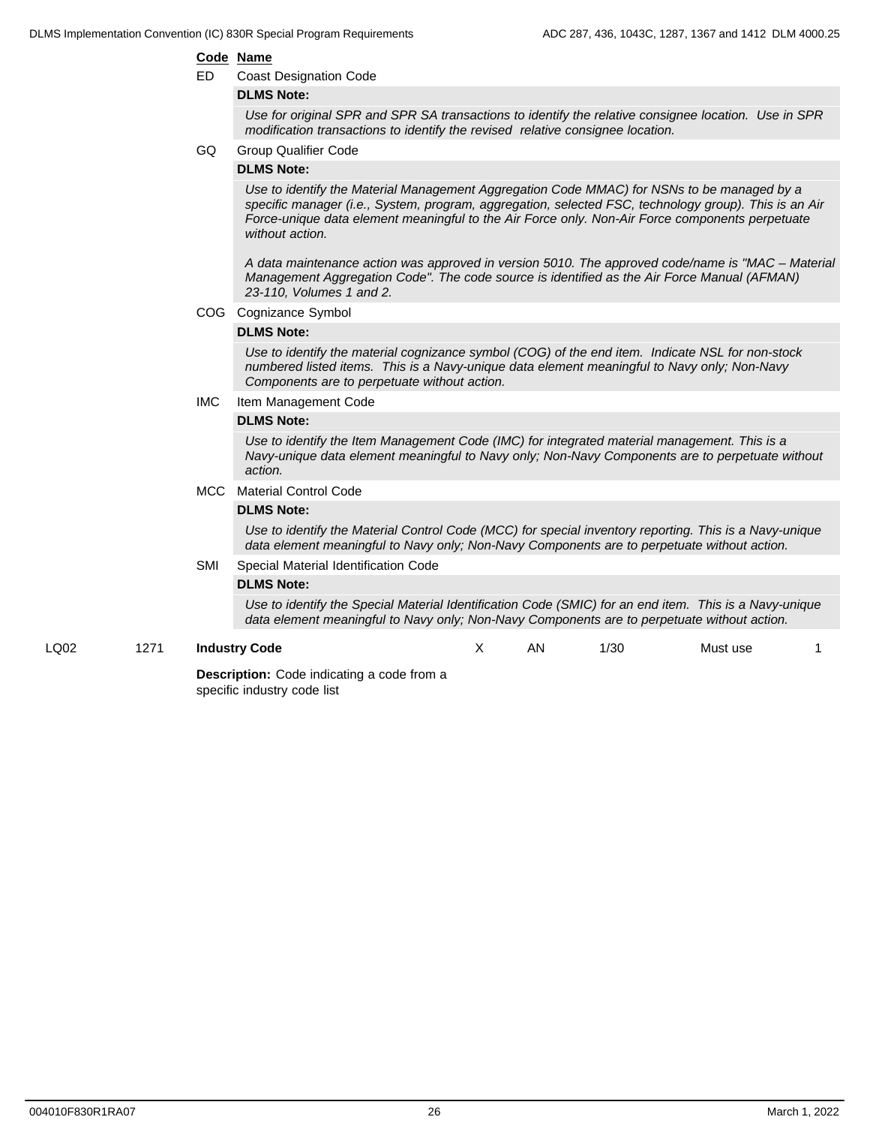#### **Code Name**

ED Coast Designation Code

#### **DLMS Note:**

*Use for original SPR and SPR SA transactions to identify the relative consignee location. Use in SPR modification transactions to identify the revised relative consignee location.*

GQ Group Qualifier Code

#### **DLMS Note:**

*Use to identify the Material Management Aggregation Code MMAC) for NSNs to be managed by a specific manager (i.e., System, program, aggregation, selected FSC, technology group). This is an Air Force-unique data element meaningful to the Air Force only. Non-Air Force components perpetuate without action.*

*A data maintenance action was approved in version 5010. The approved code/name is "MAC – Material Management Aggregation Code". The code source is identified as the Air Force Manual (AFMAN) 23-110, Volumes 1 and 2.*

COG Cognizance Symbol

#### **DLMS Note:**

*Use to identify the material cognizance symbol (COG) of the end item. Indicate NSL for non-stock numbered listed items. This is a Navy-unique data element meaningful to Navy only; Non-Navy Components are to perpetuate without action.*

IMC Item Management Code

#### **DLMS Note:**

*Use to identify the Item Management Code (IMC) for integrated material management. This is a Navy-unique data element meaningful to Navy only; Non-Navy Components are to perpetuate without action.*

#### MCC Material Control Code

#### **DLMS Note:**

*Use to identify the Material Control Code (MCC) for special inventory reporting. This is a Navy-unique data element meaningful to Navy only; Non-Navy Components are to perpetuate without action.*

SMI Special Material Identification Code

#### **DLMS Note:**

*Use to identify the Special Material Identification Code (SMIC) for an end item. This is a Navy-unique data element meaningful to Navy only; Non-Navy Components are to perpetuate without action.*

#### LQ02 1271 **Industry Code**

X AN 1/30 Must use 1

**Description:** Code indicating a code from a specific industry code list